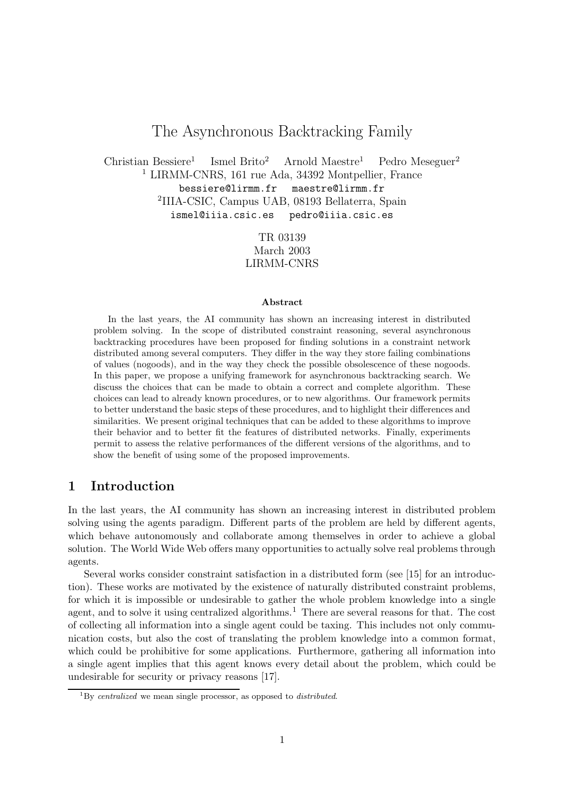# The Asynchronous Backtracking Family

Christian Bessiere<sup>1</sup> Ismel Brito<sup>2</sup> Arnold Maestre<sup>1</sup> Pedro Meseguer<sup>2</sup> <sup>1</sup> LIRMM-CNRS, 161 rue Ada, 34392 Montpellier, France bessiere@lirmm.fr maestre@lirmm.fr 2 IIIA-CSIC, Campus UAB, 08193 Bellaterra, Spain ismel@iiia.csic.es pedro@iiia.csic.es

> TR 03139 March 2003 LIRMM-CNRS

#### Abstract

In the last years, the AI community has shown an increasing interest in distributed problem solving. In the scope of distributed constraint reasoning, several asynchronous backtracking procedures have been proposed for finding solutions in a constraint network distributed among several computers. They differ in the way they store failing combinations of values (nogoods), and in the way they check the possible obsolescence of these nogoods. In this paper, we propose a unifying framework for asynchronous backtracking search. We discuss the choices that can be made to obtain a correct and complete algorithm. These choices can lead to already known procedures, or to new algorithms. Our framework permits to better understand the basic steps of these procedures, and to highlight their differences and similarities. We present original techniques that can be added to these algorithms to improve their behavior and to better fit the features of distributed networks. Finally, experiments permit to assess the relative performances of the different versions of the algorithms, and to show the benefit of using some of the proposed improvements.

## 1 Introduction

In the last years, the AI community has shown an increasing interest in distributed problem solving using the agents paradigm. Different parts of the problem are held by different agents, which behave autonomously and collaborate among themselves in order to achieve a global solution. The World Wide Web offers many opportunities to actually solve real problems through agents.

Several works consider constraint satisfaction in a distributed form (see [15] for an introduction). These works are motivated by the existence of naturally distributed constraint problems, for which it is impossible or undesirable to gather the whole problem knowledge into a single agent, and to solve it using centralized algorithms.<sup>1</sup> There are several reasons for that. The cost of collecting all information into a single agent could be taxing. This includes not only communication costs, but also the cost of translating the problem knowledge into a common format, which could be prohibitive for some applications. Furthermore, gathering all information into a single agent implies that this agent knows every detail about the problem, which could be undesirable for security or privacy reasons [17].

 ${}^{1}$ By centralized we mean single processor, as opposed to *distributed*.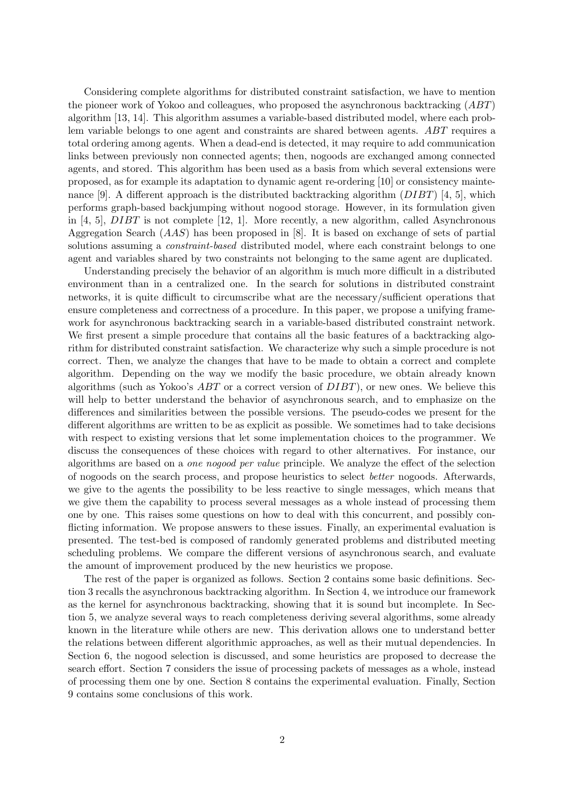Considering complete algorithms for distributed constraint satisfaction, we have to mention the pioneer work of Yokoo and colleagues, who proposed the asynchronous backtracking (ABT) algorithm [13, 14]. This algorithm assumes a variable-based distributed model, where each problem variable belongs to one agent and constraints are shared between agents. ABT requires a total ordering among agents. When a dead-end is detected, it may require to add communication links between previously non connected agents; then, nogoods are exchanged among connected agents, and stored. This algorithm has been used as a basis from which several extensions were proposed, as for example its adaptation to dynamic agent re-ordering [10] or consistency maintenance [9]. A different approach is the distributed backtracking algorithm  $(DIBT)$  [4, 5], which performs graph-based backjumping without nogood storage. However, in its formulation given in [4, 5],  $DIBT$  is not complete [12, 1]. More recently, a new algorithm, called Asynchronous Aggregation Search (AAS) has been proposed in [8]. It is based on exchange of sets of partial solutions assuming a *constraint-based* distributed model, where each constraint belongs to one agent and variables shared by two constraints not belonging to the same agent are duplicated.

Understanding precisely the behavior of an algorithm is much more difficult in a distributed environment than in a centralized one. In the search for solutions in distributed constraint networks, it is quite difficult to circumscribe what are the necessary/sufficient operations that ensure completeness and correctness of a procedure. In this paper, we propose a unifying framework for asynchronous backtracking search in a variable-based distributed constraint network. We first present a simple procedure that contains all the basic features of a backtracking algorithm for distributed constraint satisfaction. We characterize why such a simple procedure is not correct. Then, we analyze the changes that have to be made to obtain a correct and complete algorithm. Depending on the way we modify the basic procedure, we obtain already known algorithms (such as Yokoo's  $ABT$  or a correct version of  $DIBT$ ), or new ones. We believe this will help to better understand the behavior of asynchronous search, and to emphasize on the differences and similarities between the possible versions. The pseudo-codes we present for the different algorithms are written to be as explicit as possible. We sometimes had to take decisions with respect to existing versions that let some implementation choices to the programmer. We discuss the consequences of these choices with regard to other alternatives. For instance, our algorithms are based on a one nogood per value principle. We analyze the effect of the selection of nogoods on the search process, and propose heuristics to select better nogoods. Afterwards, we give to the agents the possibility to be less reactive to single messages, which means that we give them the capability to process several messages as a whole instead of processing them one by one. This raises some questions on how to deal with this concurrent, and possibly conflicting information. We propose answers to these issues. Finally, an experimental evaluation is presented. The test-bed is composed of randomly generated problems and distributed meeting scheduling problems. We compare the different versions of asynchronous search, and evaluate the amount of improvement produced by the new heuristics we propose.

The rest of the paper is organized as follows. Section 2 contains some basic definitions. Section 3 recalls the asynchronous backtracking algorithm. In Section 4, we introduce our framework as the kernel for asynchronous backtracking, showing that it is sound but incomplete. In Section 5, we analyze several ways to reach completeness deriving several algorithms, some already known in the literature while others are new. This derivation allows one to understand better the relations between different algorithmic approaches, as well as their mutual dependencies. In Section 6, the nogood selection is discussed, and some heuristics are proposed to decrease the search effort. Section 7 considers the issue of processing packets of messages as a whole, instead of processing them one by one. Section 8 contains the experimental evaluation. Finally, Section 9 contains some conclusions of this work.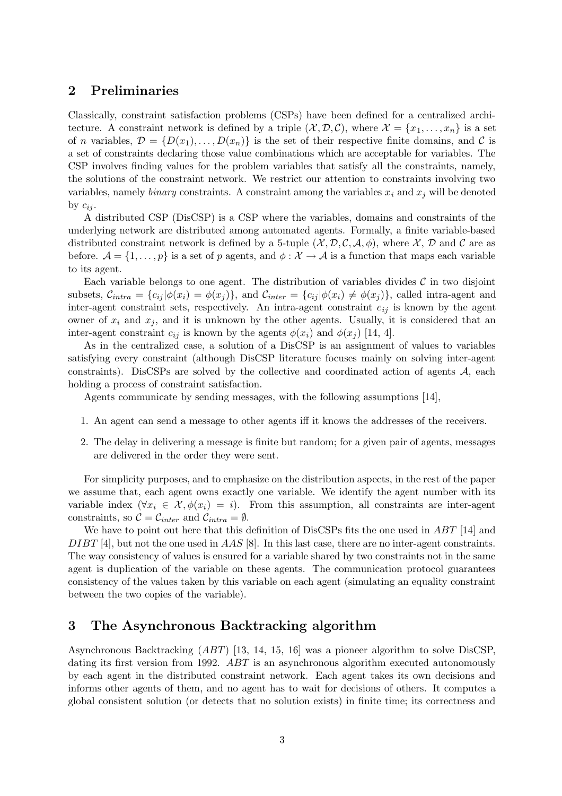## 2 Preliminaries

Classically, constraint satisfaction problems (CSPs) have been defined for a centralized architecture. A constraint network is defined by a triple  $(\mathcal{X}, \mathcal{D}, \mathcal{C})$ , where  $\mathcal{X} = \{x_1, \ldots, x_n\}$  is a set of n variables,  $\mathcal{D} = \{D(x_1), \ldots, D(x_n)\}\$ is the set of their respective finite domains, and  $\mathcal C$  is a set of constraints declaring those value combinations which are acceptable for variables. The CSP involves finding values for the problem variables that satisfy all the constraints, namely, the solutions of the constraint network. We restrict our attention to constraints involving two variables, namely binary constraints. A constraint among the variables  $x_i$  and  $x_j$  will be denoted by  $c_{ii}$ .

A distributed CSP (DisCSP) is a CSP where the variables, domains and constraints of the underlying network are distributed among automated agents. Formally, a finite variable-based distributed constraint network is defined by a 5-tuple  $(\mathcal{X}, \mathcal{D}, \mathcal{C}, \mathcal{A}, \phi)$ , where X, D and C are as before.  $\mathcal{A} = \{1, \ldots, p\}$  is a set of p agents, and  $\phi : \mathcal{X} \to \mathcal{A}$  is a function that maps each variable to its agent.

Each variable belongs to one agent. The distribution of variables divides  $\mathcal C$  in two disjoint subsets,  $\mathcal{C}_{intra} = \{c_{ij} | \phi(x_i) = \phi(x_j) \}$ , and  $\mathcal{C}_{inter} = \{c_{ij} | \phi(x_i) \neq \phi(x_j) \}$ , called intra-agent and inter-agent constraint sets, respectively. An intra-agent constraint  $c_{ij}$  is known by the agent owner of  $x_i$  and  $x_j$ , and it is unknown by the other agents. Usually, it is considered that an inter-agent constraint  $c_{ij}$  is known by the agents  $\phi(x_i)$  and  $\phi(x_j)$  [14, 4].

As in the centralized case, a solution of a DisCSP is an assignment of values to variables satisfying every constraint (although DisCSP literature focuses mainly on solving inter-agent constraints). DisCSPs are solved by the collective and coordinated action of agents  $A$ , each holding a process of constraint satisfaction.

Agents communicate by sending messages, with the following assumptions [14],

- 1. An agent can send a message to other agents iff it knows the addresses of the receivers.
- 2. The delay in delivering a message is finite but random; for a given pair of agents, messages are delivered in the order they were sent.

For simplicity purposes, and to emphasize on the distribution aspects, in the rest of the paper we assume that, each agent owns exactly one variable. We identify the agent number with its variable index  $(\forall x_i \in \mathcal{X}, \phi(x_i) = i)$ . From this assumption, all constraints are inter-agent constraints, so  $C = C_{inter}$  and  $C_{intra} = \emptyset$ .

We have to point out here that this definition of DisCSPs fits the one used in ABT [14] and DIBT [4], but not the one used in AAS [8]. In this last case, there are no inter-agent constraints. The way consistency of values is ensured for a variable shared by two constraints not in the same agent is duplication of the variable on these agents. The communication protocol guarantees consistency of the values taken by this variable on each agent (simulating an equality constraint between the two copies of the variable).

### 3 The Asynchronous Backtracking algorithm

Asynchronous Backtracking (ABT) [13, 14, 15, 16] was a pioneer algorithm to solve DisCSP, dating its first version from 1992. ABT is an asynchronous algorithm executed autonomously by each agent in the distributed constraint network. Each agent takes its own decisions and informs other agents of them, and no agent has to wait for decisions of others. It computes a global consistent solution (or detects that no solution exists) in finite time; its correctness and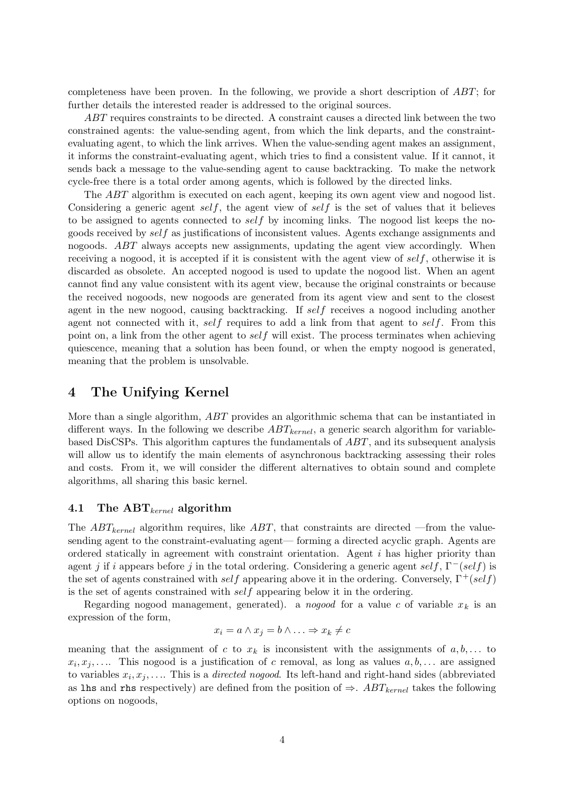completeness have been proven. In the following, we provide a short description of ABT; for further details the interested reader is addressed to the original sources.

ABT requires constraints to be directed. A constraint causes a directed link between the two constrained agents: the value-sending agent, from which the link departs, and the constraintevaluating agent, to which the link arrives. When the value-sending agent makes an assignment, it informs the constraint-evaluating agent, which tries to find a consistent value. If it cannot, it sends back a message to the value-sending agent to cause backtracking. To make the network cycle-free there is a total order among agents, which is followed by the directed links.

The ABT algorithm is executed on each agent, keeping its own agent view and nogood list. Considering a generic agent self, the agent view of self is the set of values that it believes to be assigned to agents connected to self by incoming links. The nogood list keeps the nogoods received by  $self$  as justifications of inconsistent values. Agents exchange assignments and nogoods. ABT always accepts new assignments, updating the agent view accordingly. When receiving a nogood, it is accepted if it is consistent with the agent view of  $self$ , otherwise it is discarded as obsolete. An accepted nogood is used to update the nogood list. When an agent cannot find any value consistent with its agent view, because the original constraints or because the received nogoods, new nogoods are generated from its agent view and sent to the closest agent in the new nogood, causing backtracking. If self receives a nogood including another agent not connected with it, self requires to add a link from that agent to self. From this point on, a link from the other agent to self will exist. The process terminates when achieving quiescence, meaning that a solution has been found, or when the empty nogood is generated, meaning that the problem is unsolvable.

### 4 The Unifying Kernel

More than a single algorithm, ABT provides an algorithmic schema that can be instantiated in different ways. In the following we describe  $ABT_{kernel}$ , a generic search algorithm for variablebased DisCSPs. This algorithm captures the fundamentals of ABT, and its subsequent analysis will allow us to identify the main elements of asynchronous backtracking assessing their roles and costs. From it, we will consider the different alternatives to obtain sound and complete algorithms, all sharing this basic kernel.

#### 4.1 The  $ABT_{\text{kernel}}$  algorithm

The  $ABT_{\text{kernel}}$  algorithm requires, like  $ABT$ , that constraints are directed —from the valuesending agent to the constraint-evaluating agent— forming a directed acyclic graph. Agents are ordered statically in agreement with constraint orientation. Agent i has higher priority than agent j if i appears before j in the total ordering. Considering a generic agent self,  $\Gamma^-(self)$  is the set of agents constrained with self appearing above it in the ordering. Conversely,  $\Gamma^+(self)$ is the set of agents constrained with self appearing below it in the ordering.

Regarding nogood management, generated). a nogood for a value c of variable  $x_k$  is an expression of the form,

$$
x_i = a \land x_j = b \land \dots \Rightarrow x_k \neq c
$$

meaning that the assignment of c to  $x_k$  is inconsistent with the assignments of  $a, b, \ldots$  to  $x_i, x_j, \ldots$  This nogood is a justification of c removal, as long as values  $a, b, \ldots$  are assigned to variables  $x_i, x_j, \ldots$  This is a *directed nogood*. Its left-hand and right-hand sides (abbreviated as lhs and rhs respectively) are defined from the position of  $\Rightarrow$ . ABT<sub>kernel</sub> takes the following options on nogoods,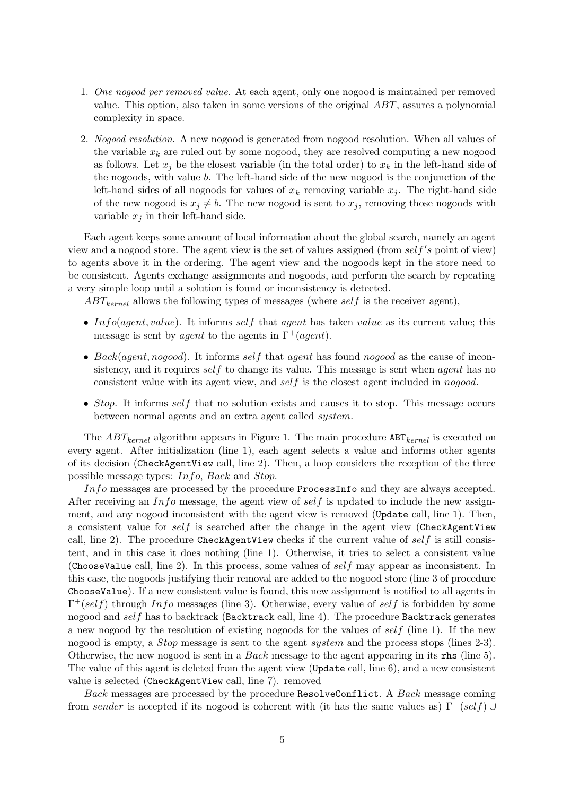- 1. One nogood per removed value. At each agent, only one nogood is maintained per removed value. This option, also taken in some versions of the original ABT, assures a polynomial complexity in space.
- 2. Nogood resolution. A new nogood is generated from nogood resolution. When all values of the variable  $x_k$  are ruled out by some nogood, they are resolved computing a new nogood as follows. Let  $x_j$  be the closest variable (in the total order) to  $x_k$  in the left-hand side of the nogoods, with value b. The left-hand side of the new nogood is the conjunction of the left-hand sides of all nogoods for values of  $x_k$  removing variable  $x_j$ . The right-hand side of the new nogood is  $x_j \neq b$ . The new nogood is sent to  $x_j$ , removing those nogoods with variable  $x_j$  in their left-hand side.

Each agent keeps some amount of local information about the global search, namely an agent view and a nogood store. The agent view is the set of values assigned (from  $self's$  point of view) to agents above it in the ordering. The agent view and the nogoods kept in the store need to be consistent. Agents exchange assignments and nogoods, and perform the search by repeating a very simple loop until a solution is found or inconsistency is detected.

 $ABT_{kernel}$  allows the following types of messages (where self is the receiver agent),

- Info(agent, value). It informs self that agent has taken value as its current value; this message is sent by *agent* to the agents in  $\Gamma^+(agent)$ .
- Back(agent, nogood). It informs self that agent has found nogood as the cause of inconsistency, and it requires self to change its value. This message is sent when *agent* has no consistent value with its agent view, and self is the closest agent included in nogood.
- Stop. It informs self that no solution exists and causes it to stop. This message occurs between normal agents and an extra agent called system.

The  $ABT_{kernel}$  algorithm appears in Figure 1. The main procedure  $ABT_{kernel}$  is executed on every agent. After initialization (line 1), each agent selects a value and informs other agents of its decision (CheckAgentView call, line 2). Then, a loop considers the reception of the three possible message types: Info, Back and Stop.

Info messages are processed by the procedure ProcessInfo and they are always accepted. After receiving an Info message, the agent view of self is updated to include the new assignment, and any nogood inconsistent with the agent view is removed (Update call, line 1). Then, a consistent value for self is searched after the change in the agent view (CheckAgentView call, line 2). The procedure CheckAgentView checks if the current value of  $self$  is still consistent, and in this case it does nothing (line 1). Otherwise, it tries to select a consistent value (ChooseValue call, line 2). In this process, some values of self may appear as inconsistent. In this case, the nogoods justifying their removal are added to the nogood store (line 3 of procedure ChooseValue). If a new consistent value is found, this new assignment is notified to all agents in  $\Gamma^+(self)$  through Info messages (line 3). Otherwise, every value of self is forbidden by some nogood and self has to backtrack (Backtrack call, line 4). The procedure Backtrack generates a new nogood by the resolution of existing nogoods for the values of  $self$  (line 1). If the new nogood is empty, a *Stop* message is sent to the agent *system* and the process stops (lines 2-3). Otherwise, the new nogood is sent in a Back message to the agent appearing in its rhs (line 5). The value of this agent is deleted from the agent view (Update call, line 6), and a new consistent value is selected (CheckAgentView call, line 7). removed

Back messages are processed by the procedure ResolveConflict. A Back message coming from sender is accepted if its nogood is coherent with (it has the same values as)  $\Gamma^-(self) \cup$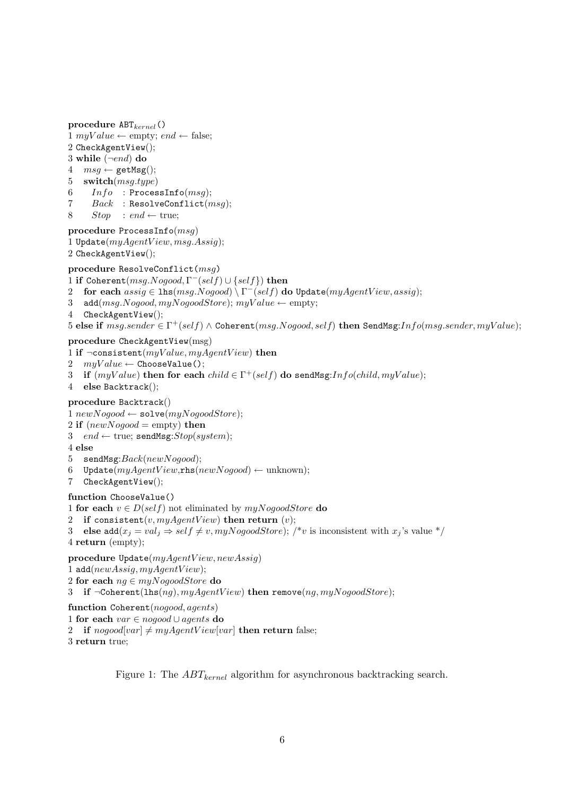procedure  $ABT_{kernel}()$ 1 myValue  $\leftarrow$  empty; end  $\leftarrow$  false; 2 CheckAgentView(); 3 while  $(\neg end)$  do  $4 \text{ msg} \leftarrow \text{getMsg}();$ 5 switch(msg.type)  $6$   $Info$  : ProcessInfo( $msg$ ); 7  $Back$  : ResolveConflict( $msg$ );

8  $Stop : end \leftarrow true;$ 

```
procedure ProcessInfo(msg)
1 Update(myAgentView, msg. Assign);2 CheckAgentView();
```
#### procedure ResolveConflict(msg)

1 if Coherent $(msg. Nogood, \Gamma^-(self) \cup \{self\})$  then

- 2 for each  $\widehat{assign} \in \mathrm{lhs}(\mathit{msg}.\mathit{Nogood}) \setminus \Gamma^-(self)$  do Update $(\mathit{myAgentView},\mathit{assign});$
- 3 add( $msg.Nogood, myNogoodStore)$ ;  $myValue \leftarrow empty$ ;
- 4 CheckAgentView();

```
5 else if msg.sender \in \Gamma^+(self) \wedge \texttt{Coherent}(msg.Nogood, self) then \texttt{SendMsg:}Info(msg.sender, myValue);
```
procedure CheckAgentView(msg)

- 1 if  $\neg \text{consistent}(myValue, myAgentView)$  then
- 2  $myValue \leftarrow ChooseValue();$
- 3 if  $(myValue)$  then for each  $child \in \Gamma^+(self)$  do sendMsg: $Info(child, myValue);$
- 4 else Backtrack();

#### procedure Backtrack()

1  $newNogood \leftarrow solve(myNogoodStore);$ 

- 2 if  $(newNogood = \text{empty})$  then
- 3 end  $\leftarrow$  true; sendMsg: $Stop(system)$ ;
- 4 else
- 5 sendMsg: $Back(newNogood);$
- 6 Update $(myAgentView,$ rhs $(newNogood) \leftarrow$ unknown);
- 7 CheckAgentView();

#### function ChooseValue()

1 for each  $v \in D(self)$  not eliminated by  $myNogoodStore$  do

2 if consistent(v,  $myAgentView$ ) then return (v);

3 else add $(x_j = val_j \Rightarrow self \neq v, myNogoodStore)$ ; /\*v is inconsistent with  $x_j$ 's value \*/ 4 return (empty);

procedure  $Update(myAgentView, newAssign)$ 

- 1 add( $newAssign, myAgentView$ );
- 2 for each  $nq \in myNogoodStore$  do

3 if  $\neg$ Coherent(lhs(nq), myAqentView) then remove(nq, myNoqoodStore);

function Coherent(nogood, agents) 1 for each var ∈ nogood ∪ agents do

2 if  $nogood|var| \neq myAgentView|var|$  then return false;

3 return true;

Figure 1: The  $ABT_{kernel}$  algorithm for asynchronous backtracking search.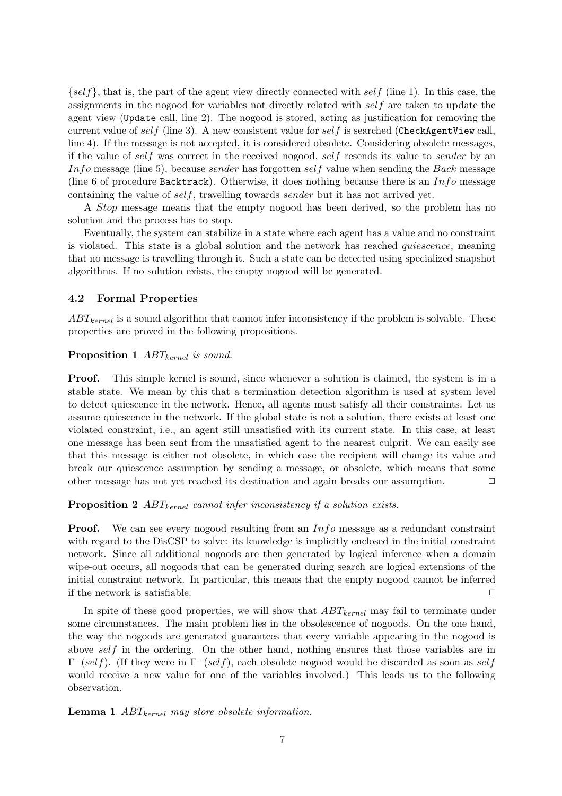$\{self\}$ , that is, the part of the agent view directly connected with self (line 1). In this case, the assignments in the nogood for variables not directly related with self are taken to update the agent view (Update call, line 2). The nogood is stored, acting as justification for removing the current value of self (line 3). A new consistent value for self is searched (CheckAgentView call, line 4). If the message is not accepted, it is considered obsolete. Considering obsolete messages, if the value of self was correct in the received nogood, self resends its value to sender by an In fo message (line 5), because sender has forgotten self value when sending the Back message (line 6 of procedure Backtrack). Otherwise, it does nothing because there is an  $Info$  message containing the value of self, travelling towards sender but it has not arrived yet.

A Stop message means that the empty nogood has been derived, so the problem has no solution and the process has to stop.

Eventually, the system can stabilize in a state where each agent has a value and no constraint is violated. This state is a global solution and the network has reached quiescence, meaning that no message is travelling through it. Such a state can be detected using specialized snapshot algorithms. If no solution exists, the empty nogood will be generated.

#### 4.2 Formal Properties

 $ABT_{kernel}$  is a sound algorithm that cannot infer inconsistency if the problem is solvable. These properties are proved in the following propositions.

#### **Proposition 1**  $ABT_{kernel}$  is sound.

Proof. This simple kernel is sound, since whenever a solution is claimed, the system is in a stable state. We mean by this that a termination detection algorithm is used at system level to detect quiescence in the network. Hence, all agents must satisfy all their constraints. Let us assume quiescence in the network. If the global state is not a solution, there exists at least one violated constraint, i.e., an agent still unsatisfied with its current state. In this case, at least one message has been sent from the unsatisfied agent to the nearest culprit. We can easily see that this message is either not obsolete, in which case the recipient will change its value and break our quiescence assumption by sending a message, or obsolete, which means that some other message has not yet reached its destination and again breaks our assumption. ✷

**Proposition 2** ABT<sub>kernel</sub> cannot infer inconsistency if a solution exists.

**Proof.** We can see every nogood resulting from an  $Info$  message as a redundant constraint with regard to the DisCSP to solve: its knowledge is implicitly enclosed in the initial constraint network. Since all additional nogoods are then generated by logical inference when a domain wipe-out occurs, all nogoods that can be generated during search are logical extensions of the initial constraint network. In particular, this means that the empty nogood cannot be inferred if the network is satisfiable.  $\Box$ 

In spite of these good properties, we will show that  $ABT_{kernel}$  may fail to terminate under some circumstances. The main problem lies in the obsolescence of nogoods. On the one hand, the way the nogoods are generated guarantees that every variable appearing in the nogood is above self in the ordering. On the other hand, nothing ensures that those variables are in  $\Gamma^-(self)$ . (If they were in  $\Gamma^-(self)$ , each obsolete nogood would be discarded as soon as self would receive a new value for one of the variables involved.) This leads us to the following observation.

**Lemma 1**  $ABT_{kernel}$  may store obsolete information.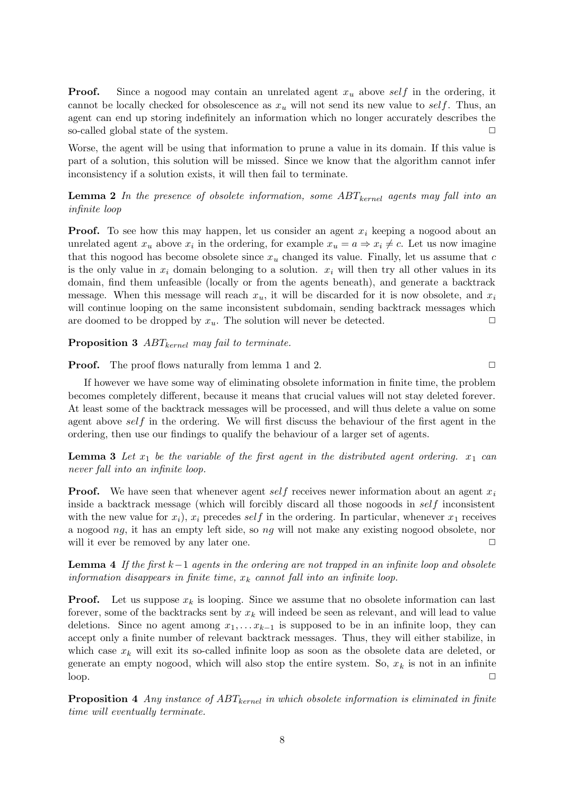**Proof.** Since a nogood may contain an unrelated agent  $x_u$  above self in the ordering, it cannot be locally checked for obsolescence as  $x<sub>u</sub>$  will not send its new value to self. Thus, an agent can end up storing indefinitely an information which no longer accurately describes the so-called global state of the system.  $\Box$ 

Worse, the agent will be using that information to prune a value in its domain. If this value is part of a solution, this solution will be missed. Since we know that the algorithm cannot infer inconsistency if a solution exists, it will then fail to terminate.

**Lemma 2** In the presence of obsolete information, some  $ABT_{\text{kernel}}$  agents may fall into an infinite loop

**Proof.** To see how this may happen, let us consider an agent  $x_i$  keeping a nogood about an unrelated agent  $x_u$  above  $x_i$  in the ordering, for example  $x_u = a \Rightarrow x_i \neq c$ . Let us now imagine that this nogood has become obsolete since  $x<sub>u</sub>$  changed its value. Finally, let us assume that c is the only value in  $x_i$  domain belonging to a solution.  $x_i$  will then try all other values in its domain, find them unfeasible (locally or from the agents beneath), and generate a backtrack message. When this message will reach  $x_u$ , it will be discarded for it is now obsolete, and  $x_i$ will continue looping on the same inconsistent subdomain, sending backtrack messages which are doomed to be dropped by  $x_u$ . The solution will never be detected.  $\Box$ 

**Proposition 3**  $ABT_{kernel}$  may fail to terminate.

**Proof.** The proof flows naturally from lemma 1 and 2.

If however we have some way of eliminating obsolete information in finite time, the problem becomes completely different, because it means that crucial values will not stay deleted forever. At least some of the backtrack messages will be processed, and will thus delete a value on some agent above self in the ordering. We will first discuss the behaviour of the first agent in the ordering, then use our findings to qualify the behaviour of a larger set of agents.

**Lemma 3** Let  $x_1$  be the variable of the first agent in the distributed agent ordering.  $x_1$  can never fall into an infinite loop.

**Proof.** We have seen that whenever agent self receives newer information about an agent  $x_i$ inside a backtrack message (which will forcibly discard all those nogoods in self inconsistent with the new value for  $x_i$ ),  $x_i$  precedes self in the ordering. In particular, whenever  $x_1$  receives a nogood ng, it has an empty left side, so ng will not make any existing nogood obsolete, nor will it ever be removed by any later one.  $\Box$ 

**Lemma 4** If the first k-1 agents in the ordering are not trapped in an infinite loop and obsolete information disappears in finite time,  $x_k$  cannot fall into an infinite loop.

**Proof.** Let us suppose  $x_k$  is looping. Since we assume that no obsolete information can last forever, some of the backtracks sent by  $x_k$  will indeed be seen as relevant, and will lead to value deletions. Since no agent among  $x_1, \ldots, x_{k-1}$  is supposed to be in an infinite loop, they can accept only a finite number of relevant backtrack messages. Thus, they will either stabilize, in which case  $x_k$  will exit its so-called infinite loop as soon as the obsolete data are deleted, or generate an empty nogood, which will also stop the entire system. So,  $x_k$  is not in an infinite  $\log$ .

**Proposition 4** Any instance of  $ABT_{kernel}$  in which obsolete information is eliminated in finite time will eventually terminate.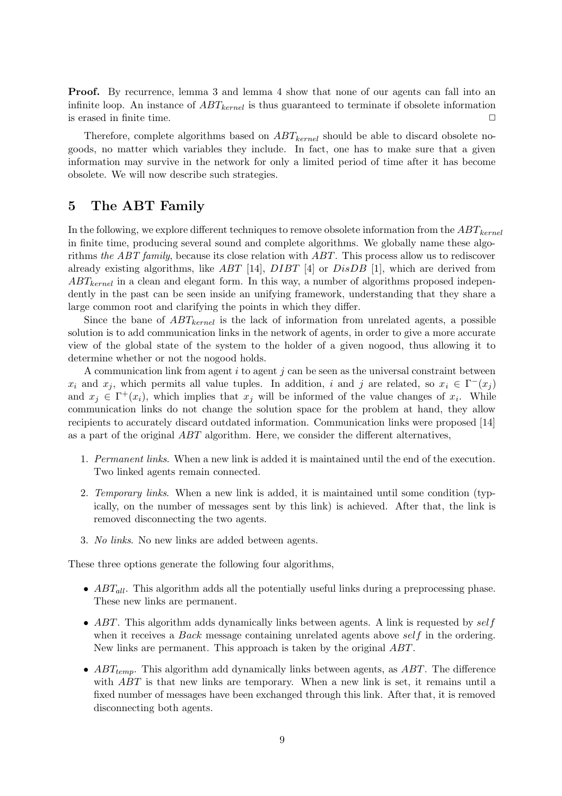**Proof.** By recurrence, lemma 3 and lemma 4 show that none of our agents can fall into an infinite loop. An instance of  $ABT_{kernel}$  is thus guaranteed to terminate if obsolete information is erased in finite time.  $\Box$ 

Therefore, complete algorithms based on  $ABT_{kernel}$  should be able to discard obsolete nogoods, no matter which variables they include. In fact, one has to make sure that a given information may survive in the network for only a limited period of time after it has become obsolete. We will now describe such strategies.

## 5 The ABT Family

In the following, we explore different techniques to remove obsolete information from the  $ABT_{kernel}$ in finite time, producing several sound and complete algorithms. We globally name these algorithms the ABT family, because its close relation with ABT. This process allow us to rediscover already existing algorithms, like ABT [14], DIBT [4] or DisDB [1], which are derived from  $ABT_{kernel}$  in a clean and elegant form. In this way, a number of algorithms proposed independently in the past can be seen inside an unifying framework, understanding that they share a large common root and clarifying the points in which they differ.

Since the bane of  $ABT_{\text{kernel}}$  is the lack of information from unrelated agents, a possible solution is to add communication links in the network of agents, in order to give a more accurate view of the global state of the system to the holder of a given nogood, thus allowing it to determine whether or not the nogood holds.

A communication link from agent  $i$  to agent  $j$  can be seen as the universal constraint between  $x_i$  and  $x_j$ , which permits all value tuples. In addition, i and j are related, so  $x_i \in \Gamma^{-1}(x_j)$ and  $x_j \in \Gamma^+(x_i)$ , which implies that  $x_j$  will be informed of the value changes of  $x_i$ . While communication links do not change the solution space for the problem at hand, they allow recipients to accurately discard outdated information. Communication links were proposed [14] as a part of the original ABT algorithm. Here, we consider the different alternatives,

- 1. Permanent links. When a new link is added it is maintained until the end of the execution. Two linked agents remain connected.
- 2. Temporary links. When a new link is added, it is maintained until some condition (typically, on the number of messages sent by this link) is achieved. After that, the link is removed disconnecting the two agents.
- 3. No links. No new links are added between agents.

These three options generate the following four algorithms,

- $ABT_{all}$ . This algorithm adds all the potentially useful links during a preprocessing phase. These new links are permanent.
- $ABT$ . This algorithm adds dynamically links between agents. A link is requested by  $self$ when it receives a *Back* message containing unrelated agents above  $self$  in the ordering. New links are permanent. This approach is taken by the original ABT.
- $ABT_{temp}$ . This algorithm add dynamically links between agents, as  $ABT$ . The difference with ABT is that new links are temporary. When a new link is set, it remains until a fixed number of messages have been exchanged through this link. After that, it is removed disconnecting both agents.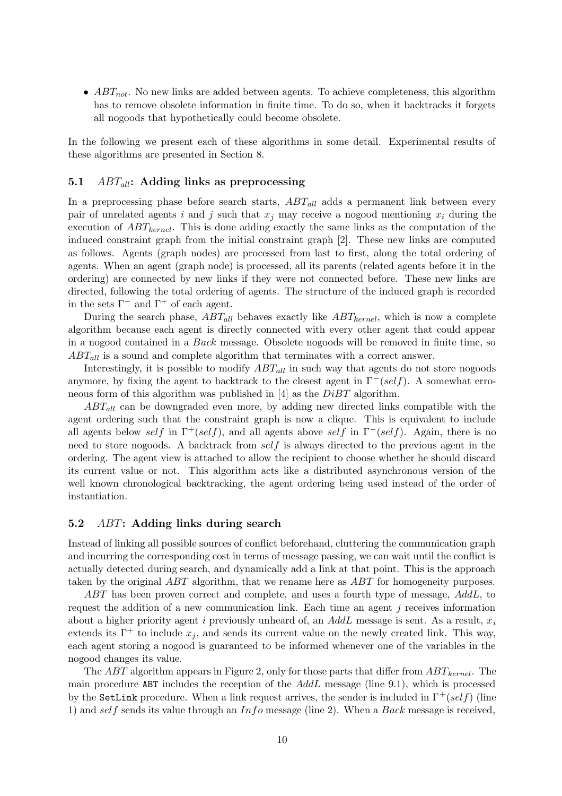•  $ABT_{not}$ . No new links are added between agents. To achieve completeness, this algorithm has to remove obsolete information in finite time. To do so, when it backtracks it forgets all nogoods that hypothetically could become obsolete.

In the following we present each of these algorithms in some detail. Experimental results of these algorithms are presented in Section 8.

#### 5.1  $ABT_{all}$ : Adding links as preprocessing

In a preprocessing phase before search starts,  $ABT_{all}$  adds a permanent link between every pair of unrelated agents i and j such that  $x_j$  may receive a nogood mentioning  $x_i$  during the execution of  $ABT_{kernel}$ . This is done adding exactly the same links as the computation of the induced constraint graph from the initial constraint graph [2]. These new links are computed as follows. Agents (graph nodes) are processed from last to first, along the total ordering of agents. When an agent (graph node) is processed, all its parents (related agents before it in the ordering) are connected by new links if they were not connected before. These new links are directed, following the total ordering of agents. The structure of the induced graph is recorded in the sets  $\Gamma^-$  and  $\Gamma^+$  of each agent.

During the search phase,  $ABT_{all}$  behaves exactly like  $ABT_{kernel}$ , which is now a complete algorithm because each agent is directly connected with every other agent that could appear in a nogood contained in a Back message. Obsolete nogoods will be removed in finite time, so  $ABT_{all}$  is a sound and complete algorithm that terminates with a correct answer.

Interestingly, it is possible to modify  $ABT_{all}$  in such way that agents do not store nogoods anymore, by fixing the agent to backtrack to the closest agent in  $\Gamma^-(self)$ . A somewhat erroneous form of this algorithm was published in [4] as the DiBT algorithm.

 $ABT_{all}$  can be downgraded even more, by adding new directed links compatible with the agent ordering such that the constraint graph is now a clique. This is equivalent to include all agents below self in  $\Gamma^+(self)$ , and all agents above self in  $\Gamma^-(self)$ . Again, there is no need to store nogoods. A backtrack from self is always directed to the previous agent in the ordering. The agent view is attached to allow the recipient to choose whether he should discard its current value or not. This algorithm acts like a distributed asynchronous version of the well known chronological backtracking, the agent ordering being used instead of the order of instantiation.

#### 5.2 ABT: Adding links during search

Instead of linking all possible sources of conflict beforehand, cluttering the communication graph and incurring the corresponding cost in terms of message passing, we can wait until the conflict is actually detected during search, and dynamically add a link at that point. This is the approach taken by the original ABT algorithm, that we rename here as ABT for homogeneity purposes.

ABT has been proven correct and complete, and uses a fourth type of message, AddL, to request the addition of a new communication link. Each time an agent  $j$  receives information about a higher priority agent i previously unheard of, an  $AddL$  message is sent. As a result,  $x_i$ extends its  $\Gamma^+$  to include  $x_j$ , and sends its current value on the newly created link. This way, each agent storing a nogood is guaranteed to be informed whenever one of the variables in the nogood changes its value.

The ABT algorithm appears in Figure 2, only for those parts that differ from  $ABT_{\text{kernel}}$ . The main procedure ABT includes the reception of the AddL message (line 9.1), which is processed by the SetLink procedure. When a link request arrives, the sender is included in  $\Gamma^+(self)$  (line 1) and self sends its value through an  $Info$  message (line 2). When a Back message is received,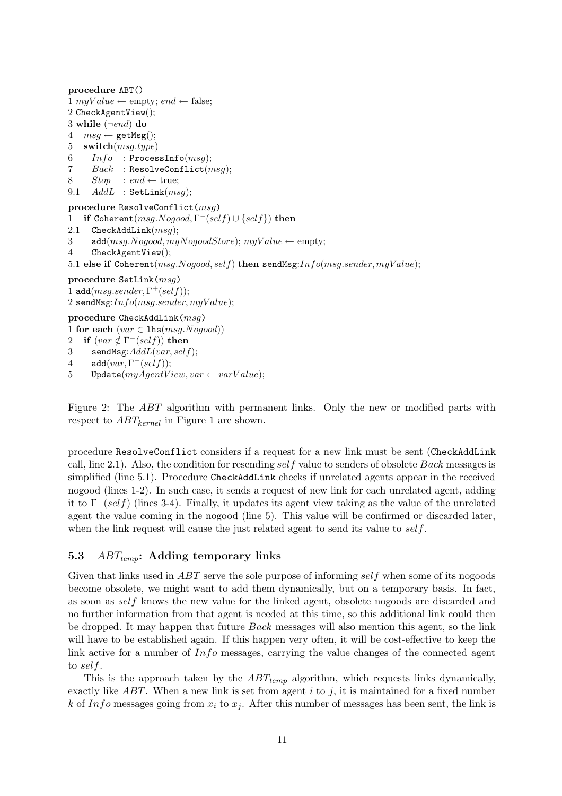procedure ABT() 1 myValue  $\leftarrow$  empty; end  $\leftarrow$  false; 2 CheckAgentView(); 3 while  $(\neg end)$  do  $4 \text{ msg} \leftarrow \text{getMsg}();$ 5 switch $(msg.type)$  $6$   $Info$  : ProcessInfo(msg); 7  $Back$  : ResolveConflict( $msg$ ); 8  $Stop : end \leftarrow true;$ 9.1  $AddL$  : SetLink( $msg$ ); procedure ResolveConflict(msg) 1 if Coherent $(msg.Nogood, \Gamma^-(self) \cup \{self\})$  then 2.1 CheckAddLink $(msg);$ 3 add( $msg.Nogood, myNogoodStore)$ ;  $myValue \leftarrow empty$ ; 4 CheckAgentView(); 5.1 else if Coherent(msg.Nogood, self) then sendMsg: $Info(msg.sender, myValue);$ procedure SetLink(msg) 1 add $(msg.sender, \Gamma^+(self));$ 2 sendMsg: $Info(msg.sender, myValue);$ 

## procedure CheckAddLink(msg)

1 for each  $(var \in \text{lhs}(msg.Nogood))$ 

```
2 if (var \notin \Gamma^-(self)) then
```
3 sendMsg: $AddL(var, self);$ 

```
4 add(var, \Gamma^{-}(self));
```

```
5 Update(myAgentView, var \leftarrow varValue);
```
Figure 2: The ABT algorithm with permanent links. Only the new or modified parts with respect to  $ABT_{kernel}$  in Figure 1 are shown.

procedure ResolveConflict considers if a request for a new link must be sent (CheckAddLink call, line 2.1). Also, the condition for resending self value to senders of obsolete Back messages is simplified (line 5.1). Procedure CheckAddLink checks if unrelated agents appear in the received nogood (lines 1-2). In such case, it sends a request of new link for each unrelated agent, adding it to  $\Gamma^-(self)$  (lines 3-4). Finally, it updates its agent view taking as the value of the unrelated agent the value coming in the nogood (line 5). This value will be confirmed or discarded later, when the link request will cause the just related agent to send its value to  $self$ .

### 5.3  $ABT_{temp}$ : Adding temporary links

Given that links used in ABT serve the sole purpose of informing self when some of its nogoods become obsolete, we might want to add them dynamically, but on a temporary basis. In fact, as soon as self knows the new value for the linked agent, obsolete nogoods are discarded and no further information from that agent is needed at this time, so this additional link could then be dropped. It may happen that future Back messages will also mention this agent, so the link will have to be established again. If this happen very often, it will be cost-effective to keep the link active for a number of  $Info$  messages, carrying the value changes of the connected agent to self.

This is the approach taken by the  $ABT_{temp}$  algorithm, which requests links dynamically, exactly like  $ABT$ . When a new link is set from agent i to j, it is maintained for a fixed number k of Info messages going from  $x_i$  to  $x_j$ . After this number of messages has been sent, the link is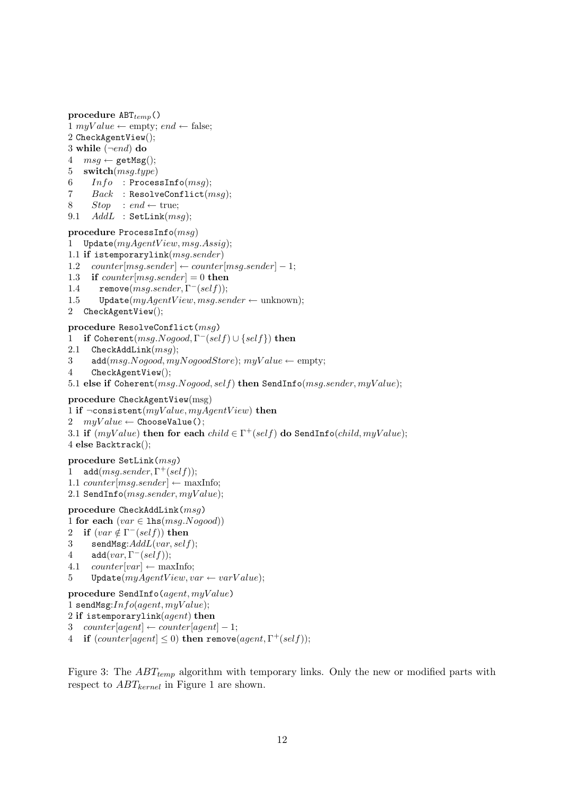```
procedure ABT_{temp}()1 myValue \leftarrow empty; end \leftarrow false;
2 CheckAgentView();
3 while (\neg end) do
4 \text{ msg} \leftarrow \text{getMsg}();5 switch(msg.type)
6  Info : ProcessInfo(msq);
7 Back : ResolveConflict(msg);
8 Stop : end \leftarrow true;9.1 AddL : SetLink(msg);
procedure ProcessInfo(msg)
1 Update(myAgentView, msg. Assign);1.1 if istemporarylink(msg.sender)1.2 counter[msg.sender] \leftarrow counter[msg.sender] - 1;1.3 if counter [msg.sender] = 0 then
1.4 remove(msg.sender, \Gamma^-(self));1.5 Update(myAgentView, msg.sender \leftarrow unknown);
```

```
2 CheckAgentView();
```
### procedure ResolveConflict(msg)

- 1 if Coherent $(msg.Nogood, \Gamma^-(self) \cup \{self\})$  then
- 2.1 CheckAddLink $(msq)$ ;
- 3 add( $msg.Nogood, myNogoodStore)$ ;  $myValue \leftarrow empty$ ;
- 4 CheckAgentView();

5.1 else if Coherent(msg.Nogood, self) then SendInfo(msg.sender, myValue);

```
procedure CheckAgentView(msg)
```

```
1 if \neg \text{consistent}(myValue, myAgentView) then
```
2  $myValue \leftarrow ChooseValue();$ 

3.1 if  $(myValue)$  then for each  $child \in \Gamma^+(self)$  do SendInfo $(child, myValue);$ 4 else Backtrack();

### procedure SetLink(msg)

- 1 add $(msg.sender, \Gamma^+(self));$
- 1.1 counter $[msq.sender] \leftarrow \text{maxInfo};$
- 2.1 SendInfo $(msg.sender, myValue);$

### $\textbf{procedure} \ \texttt{CheckAddLink}(msg)$

```
1 for each (var \in \text{lhs}(msg.Nogood))
```
- 2 if  $(var \notin \Gamma^-(self))$  then
- 3 sendMsg: $AddL(var, self)$ ;
- 4 add $(var, \Gamma^{-}(self));$
- 4.1 counter[var]  $\leftarrow$  maxInfo;
- 5 Update $(myAgentView, var \leftarrow varValue);$

```
procedure SendInfo(agent, myValue)
```

```
1 sendMsg:Info(agent, myValue);
```

```
2 if istemporarylink(agent) then
```

```
3 counter[agent] \leftarrow counter[agent] – 1;
```

```
4 if (counter[agent] \leq 0) then remove(agent, \Gamma^+(self));
```
Figure 3: The  $ABT_{temp}$  algorithm with temporary links. Only the new or modified parts with respect to  $ABT_{kernel}$  in Figure 1 are shown.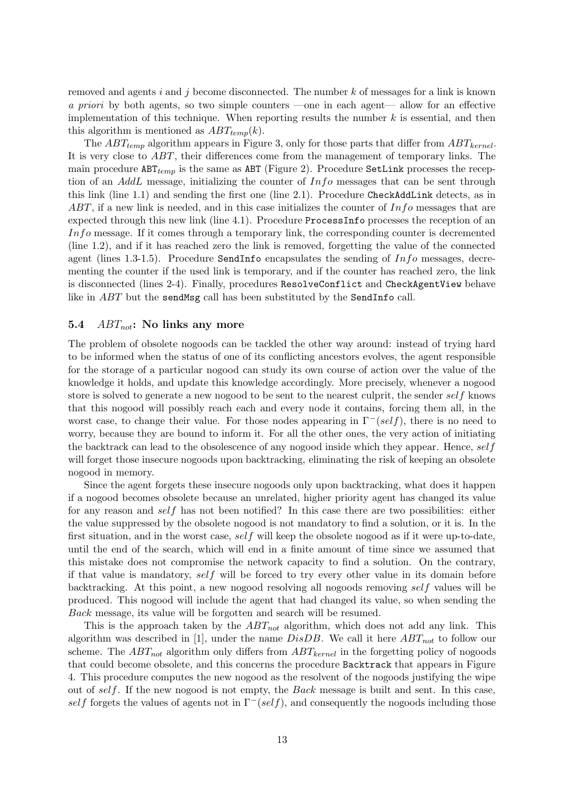removed and agents i and j become disconnected. The number  $k$  of messages for a link is known a priori by both agents, so two simple counters —one in each agent— allow for an effective implementation of this technique. When reporting results the number  $k$  is essential, and then this algorithm is mentioned as  $ABT_{temp}(k)$ .

The  $ABT_{temp}$  algorithm appears in Figure 3, only for those parts that differ from  $ABT_{kernel}$ . It is very close to ABT, their differences come from the management of temporary links. The main procedure  $ABT_{temp}$  is the same as ABT (Figure 2). Procedure SetLink processes the reception of an AddL message, initializing the counter of Info messages that can be sent through this link (line 1.1) and sending the first one (line 2.1). Procedure CheckAddLink detects, as in  $ABT$ , if a new link is needed, and in this case initializes the counter of  $Info$  messages that are expected through this new link (line 4.1). Procedure ProcessInfo processes the reception of an Info message. If it comes through a temporary link, the corresponding counter is decremented (line 1.2), and if it has reached zero the link is removed, forgetting the value of the connected agent (lines 1.3-1.5). Procedure SendInfo encapsulates the sending of  $Info$  messages, decrementing the counter if the used link is temporary, and if the counter has reached zero, the link is disconnected (lines 2-4). Finally, procedures ResolveConflict and CheckAgentView behave like in *ABT* but the sendMsg call has been substituted by the SendInfo call.

#### 5.4  $ABT_{not}$ : No links any more

The problem of obsolete nogoods can be tackled the other way around: instead of trying hard to be informed when the status of one of its conflicting ancestors evolves, the agent responsible for the storage of a particular nogood can study its own course of action over the value of the knowledge it holds, and update this knowledge accordingly. More precisely, whenever a nogood store is solved to generate a new nogood to be sent to the nearest culprit, the sender self knows that this nogood will possibly reach each and every node it contains, forcing them all, in the worst case, to change their value. For those nodes appearing in  $\Gamma^{-}(self)$ , there is no need to worry, because they are bound to inform it. For all the other ones, the very action of initiating the backtrack can lead to the obsolescence of any nogood inside which they appear. Hence,  $self$ will forget those insecure nogoods upon backtracking, eliminating the risk of keeping an obsolete nogood in memory.

Since the agent forgets these insecure nogoods only upon backtracking, what does it happen if a nogood becomes obsolete because an unrelated, higher priority agent has changed its value for any reason and self has not been notified? In this case there are two possibilities: either the value suppressed by the obsolete nogood is not mandatory to find a solution, or it is. In the first situation, and in the worst case, self will keep the obsolete nogood as if it were up-to-date, until the end of the search, which will end in a finite amount of time since we assumed that this mistake does not compromise the network capacity to find a solution. On the contrary, if that value is mandatory, self will be forced to try every other value in its domain before backtracking. At this point, a new nogood resolving all nogoods removing self values will be produced. This nogood will include the agent that had changed its value, so when sending the Back message, its value will be forgotten and search will be resumed.

This is the approach taken by the  $ABT_{not}$  algorithm, which does not add any link. This algorithm was described in [1], under the name  $DisDB$ . We call it here  $ABT_{not}$  to follow our scheme. The  $ABT_{not}$  algorithm only differs from  $ABT_{kernel}$  in the forgetting policy of nogoods that could become obsolete, and this concerns the procedure Backtrack that appears in Figure 4. This procedure computes the new nogood as the resolvent of the nogoods justifying the wipe out of self. If the new nogood is not empty, the Back message is built and sent. In this case, self forgets the values of agents not in  $\Gamma^-(self)$ , and consequently the nogoods including those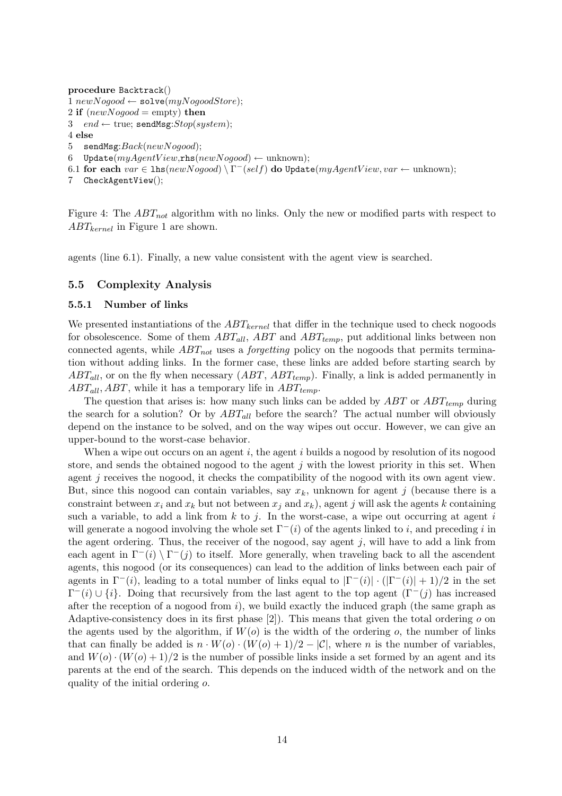```
procedure Backtrack()
1 newNoqood \leftarrow \texttt{solve}(myNoqoodStore);2 if (newNogood = \text{empty}) then
3 end \leftarrow true; sendMsg:Stop(system);
4 else
5 sendMsg:Back(newNogood);6 Update(myAgentView,rhs(newNogood) \leftarrowunknown);
6.1 for each var \in \texttt{lhs}(newNogood) \setminus \Gamma^-(self) do Update(myAgentView, var \leftarrow \text{unknown});
```

```
7 CheckAgentView();
```
Figure 4: The  $ABT_{not}$  algorithm with no links. Only the new or modified parts with respect to  $ABT_{kernel}$  in Figure 1 are shown.

agents (line 6.1). Finally, a new value consistent with the agent view is searched.

### 5.5 Complexity Analysis

### 5.5.1 Number of links

We presented instantiations of the  $ABT_{kernel}$  that differ in the technique used to check nogoods for obsolescence. Some of them  $ABT_{all}$ ,  $ABT$  and  $ABT_{temp}$ , put additional links between non connected agents, while  $ABT_{not}$  uses a *forgetting* policy on the nogoods that permits termination without adding links. In the former case, these links are added before starting search by  $ABT_{all}$ , or on the fly when necessary  $(ABT, ABT_{temp})$ . Finally, a link is added permanently in  $ABT_{all}$ , ABT, while it has a temporary life in  $ABT_{temp}$ .

The question that arises is: how many such links can be added by  $ABT$  or  $ABT_{temp}$  during the search for a solution? Or by  $ABT_{all}$  before the search? The actual number will obviously depend on the instance to be solved, and on the way wipes out occur. However, we can give an upper-bound to the worst-case behavior.

When a wipe out occurs on an agent  $i$ , the agent  $i$  builds a nogood by resolution of its nogood store, and sends the obtained nogood to the agent  $j$  with the lowest priority in this set. When agent  $j$  receives the nogood, it checks the compatibility of the nogood with its own agent view. But, since this nogood can contain variables, say  $x_k$ , unknown for agent j (because there is a constraint between  $x_i$  and  $x_k$  but not between  $x_j$  and  $x_k$ ), agent j will ask the agents k containing such a variable, to add a link from  $k$  to j. In the worst-case, a wipe out occurring at agent i will generate a nogood involving the whole set  $\Gamma^-(i)$  of the agents linked to i, and preceding i in the agent ordering. Thus, the receiver of the nogood, say agent  $j$ , will have to add a link from each agent in  $\Gamma^{-}(i) \setminus \Gamma^{-}(j)$  to itself. More generally, when traveling back to all the ascendent agents, this nogood (or its consequences) can lead to the addition of links between each pair of agents in  $\Gamma^-(i)$ , leading to a total number of links equal to  $|\Gamma^-(i)| \cdot (|\Gamma^-(i)| + 1)/2$  in the set  $\Gamma^{-}(i) \cup \{i\}$ . Doing that recursively from the last agent to the top agent  $(\Gamma^{-}(j))$  has increased after the reception of a nogood from  $i$ ), we build exactly the induced graph (the same graph as Adaptive-consistency does in its first phase  $[2]$ ). This means that given the total ordering  $\sigma$  on the agents used by the algorithm, if  $W(o)$  is the width of the ordering  $o$ , the number of links that can finally be added is  $n \cdot W(o) \cdot (W(o) + 1)/2 - |\mathcal{C}|$ , where n is the number of variables, and  $W(o) \cdot (W(o) + 1)/2$  is the number of possible links inside a set formed by an agent and its parents at the end of the search. This depends on the induced width of the network and on the quality of the initial ordering o.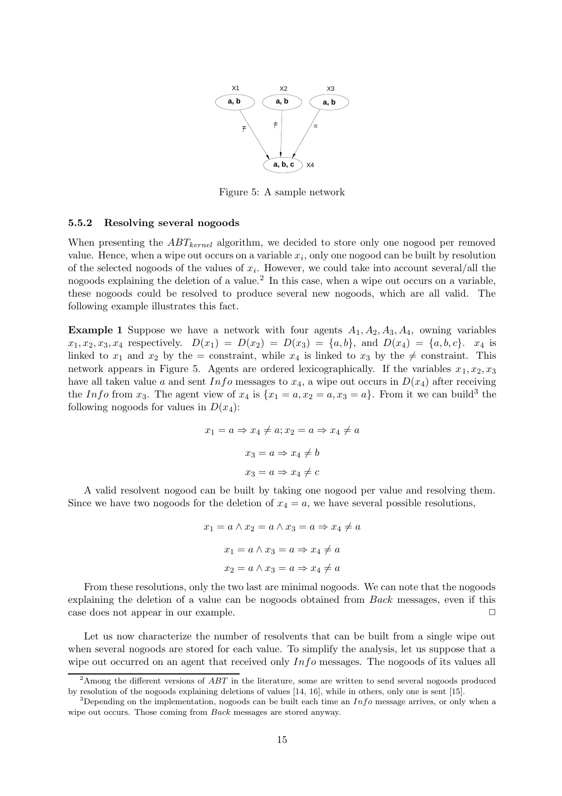

Figure 5: A sample network

#### 5.5.2 Resolving several nogoods

When presenting the  $ABT_{kernel}$  algorithm, we decided to store only one nogood per removed value. Hence, when a wipe out occurs on a variable  $x_i$ , only one nogood can be built by resolution of the selected nogoods of the values of  $x_i$ . However, we could take into account several/all the nogoods explaining the deletion of a value.<sup>2</sup> In this case, when a wipe out occurs on a variable, these nogoods could be resolved to produce several new nogoods, which are all valid. The following example illustrates this fact.

**Example 1** Suppose we have a network with four agents  $A_1, A_2, A_3, A_4$ , owning variables  $x_1, x_2, x_3, x_4$  respectively.  $D(x_1) = D(x_2) = D(x_3) = \{a, b\}$ , and  $D(x_4) = \{a, b, c\}$ .  $x_4$  is linked to  $x_1$  and  $x_2$  by the = constraint, while  $x_4$  is linked to  $x_3$  by the  $\neq$  constraint. This network appears in Figure 5. Agents are ordered lexicographically. If the variables  $x_1, x_2, x_3$ have all taken value a and sent  $Info$  messages to  $x_4$ , a wipe out occurs in  $D(x_4)$  after receiving the Info from  $x_3$ . The agent view of  $x_4$  is  $\{x_1 = a, x_2 = a, x_3 = a\}$ . From it we can build<sup>3</sup> the following nogoods for values in  $D(x_4)$ :

$$
x_1 = a \Rightarrow x_4 \neq a; x_2 = a \Rightarrow x_4 \neq a
$$

$$
x_3 = a \Rightarrow x_4 \neq b
$$

$$
x_3 = a \Rightarrow x_4 \neq c
$$

A valid resolvent nogood can be built by taking one nogood per value and resolving them. Since we have two nogoods for the deletion of  $x_4 = a$ , we have several possible resolutions,

$$
x_1 = a \land x_2 = a \land x_3 = a \Rightarrow x_4 \neq a
$$

$$
x_1 = a \land x_3 = a \Rightarrow x_4 \neq a
$$

$$
x_2 = a \land x_3 = a \Rightarrow x_4 \neq a
$$

From these resolutions, only the two last are minimal nogoods. We can note that the nogoods explaining the deletion of a value can be nogoods obtained from Back messages, even if this case does not appear in our example.

Let us now characterize the number of resolvents that can be built from a single wipe out when several nogoods are stored for each value. To simplify the analysis, let us suppose that a wipe out occurred on an agent that received only  $Info$  messages. The nogoods of its values all

 $2$ Among the different versions of  $ABT$  in the literature, some are written to send several nogoods produced by resolution of the nogoods explaining deletions of values [14, 16], while in others, only one is sent [15].

<sup>&</sup>lt;sup>3</sup>Depending on the implementation, nogoods can be built each time an  $Info$  message arrives, or only when a wipe out occurs. Those coming from Back messages are stored anyway.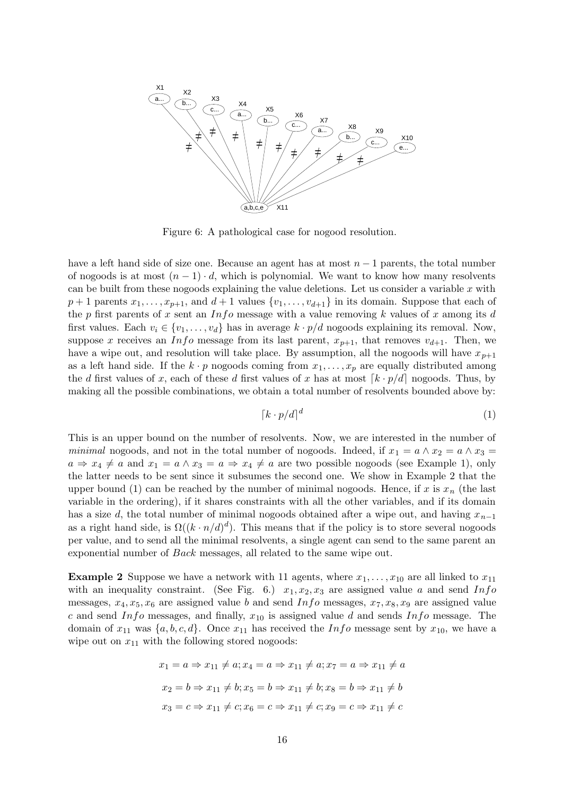

Figure 6: A pathological case for nogood resolution.

have a left hand side of size one. Because an agent has at most  $n-1$  parents, the total number of nogoods is at most  $(n-1) \cdot d$ , which is polynomial. We want to know how many resolvents can be built from these nogoods explaining the value deletions. Let us consider a variable  $x$  with  $p+1$  parents  $x_1, \ldots, x_{p+1}$ , and  $d+1$  values  $\{v_1, \ldots, v_{d+1}\}$  in its domain. Suppose that each of the p first parents of x sent an  $Info$  message with a value removing k values of x among its d first values. Each  $v_i \in \{v_1, \ldots, v_d\}$  has in average  $k \cdot p/d$  nogoods explaining its removal. Now, suppose x receives an Info message from its last parent,  $x_{p+1}$ , that removes  $v_{d+1}$ . Then, we have a wipe out, and resolution will take place. By assumption, all the nogoods will have  $x_{p+1}$ as a left hand side. If the  $k \cdot p$  nogoods coming from  $x_1, \ldots, x_p$  are equally distributed among the d first values of x, each of these d first values of x has at most  $k \cdot p/d$  nogoods. Thus, by making all the possible combinations, we obtain a total number of resolvents bounded above by:

$$
\left[k \cdot p/d\right]^d\tag{1}
$$

This is an upper bound on the number of resolvents. Now, we are interested in the number of minimal nogoods, and not in the total number of nogoods. Indeed, if  $x_1 = a \wedge x_2 = a \wedge x_3 = a$  $a \Rightarrow x_4 \neq a$  and  $x_1 = a \land x_3 = a \Rightarrow x_4 \neq a$  are two possible nogoods (see Example 1), only the latter needs to be sent since it subsumes the second one. We show in Example 2 that the upper bound (1) can be reached by the number of minimal nogoods. Hence, if x is  $x_n$  (the last variable in the ordering), if it shares constraints with all the other variables, and if its domain has a size d, the total number of minimal nogoods obtained after a wipe out, and having  $x_{n-1}$ as a right hand side, is  $\Omega((k \cdot n/d)^d)$ . This means that if the policy is to store several nogoods per value, and to send all the minimal resolvents, a single agent can send to the same parent an exponential number of Back messages, all related to the same wipe out.

**Example 2** Suppose we have a network with 11 agents, where  $x_1, \ldots, x_{10}$  are all linked to  $x_{11}$ with an inequality constraint. (See Fig. 6.)  $x_1, x_2, x_3$  are assigned value a and send Info messages,  $x_4, x_5, x_6$  are assigned value b and send Info messages,  $x_7, x_8, x_9$  are assigned value c and send Info messages, and finally,  $x_{10}$  is assigned value d and sends Info message. The domain of  $x_{11}$  was  $\{a, b, c, d\}$ . Once  $x_{11}$  has received the Info message sent by  $x_{10}$ , we have a wipe out on  $x_{11}$  with the following stored nogoods:

$$
x_1 = a \Rightarrow x_{11} \neq a; x_4 = a \Rightarrow x_{11} \neq a; x_7 = a \Rightarrow x_{11} \neq a
$$
  

$$
x_2 = b \Rightarrow x_{11} \neq b; x_5 = b \Rightarrow x_{11} \neq b; x_8 = b \Rightarrow x_{11} \neq b
$$
  

$$
x_3 = c \Rightarrow x_{11} \neq c; x_6 = c \Rightarrow x_{11} \neq c; x_9 = c \Rightarrow x_{11} \neq c
$$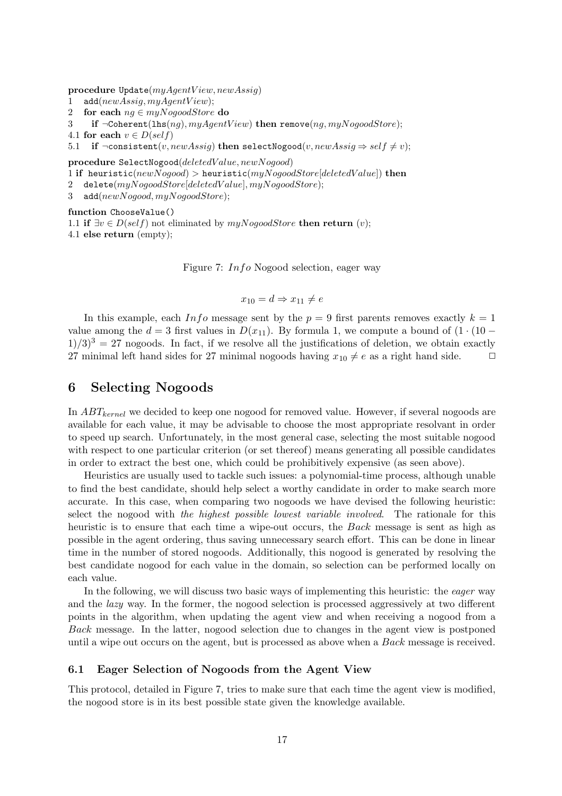procedure  $Update(myAgentView, newAssign)$ 

- 1 add( $newAssign, myAgentView$ );
- 2 for each  $ng \in myNogoodStore$  do

3 if  $\neg \text{Coherent}(\text{hfs}(ng), myAgentView)$  then remove $(ng, myNogoodStore)$ ;

4.1 for each  $v \in D(self)$ 

5.1 if  $\neg$ consistent(v, newAssig) then selectNogood(v, newAssig  $\Rightarrow$  self  $\neq v$ );

procedure SelectNogood(deletedV alue, newNogood)

1 if heuristic(newNogood) > heuristic(myNogoodStore[deletedValue]) then

- 2 delete(myNogoodStore[deletedValue], myNogoodStore);
- 3 add(newNogood, myNogoodStore);

function ChooseValue()

1.1 if  $\exists v \in D(\text{self})$  not eliminated by  $m\psi N \text{0} \text{0}$  and  $S \text{1}$  then return  $(v)$ ;

4.1 else return (empty);

Figure 7: Info Nogood selection, eager way

$$
x_{10} = d \Rightarrow x_{11} \neq e
$$

In this example, each Info message sent by the  $p = 9$  first parents removes exactly  $k = 1$ value among the  $d = 3$  first values in  $D(x_{11})$ . By formula 1, we compute a bound of  $(1 \cdot (10 1/3$ <sup>3</sup> = 27 nogoods. In fact, if we resolve all the justifications of deletion, we obtain exactly 27 minimal left hand sides for 27 minimal nogoods having  $x_{10} \neq e$  as a right hand side.  $\Box$ 

### 6 Selecting Nogoods

In  $ABT_{kernel}$  we decided to keep one nogood for removed value. However, if several nogoods are available for each value, it may be advisable to choose the most appropriate resolvant in order to speed up search. Unfortunately, in the most general case, selecting the most suitable nogood with respect to one particular criterion (or set thereof) means generating all possible candidates in order to extract the best one, which could be prohibitively expensive (as seen above).

Heuristics are usually used to tackle such issues: a polynomial-time process, although unable to find the best candidate, should help select a worthy candidate in order to make search more accurate. In this case, when comparing two nogoods we have devised the following heuristic: select the nogood with the highest possible lowest variable involved. The rationale for this heuristic is to ensure that each time a wipe-out occurs, the *Back* message is sent as high as possible in the agent ordering, thus saving unnecessary search effort. This can be done in linear time in the number of stored nogoods. Additionally, this nogood is generated by resolving the best candidate nogood for each value in the domain, so selection can be performed locally on each value.

In the following, we will discuss two basic ways of implementing this heuristic: the *eager* way and the lazy way. In the former, the nogood selection is processed aggressively at two different points in the algorithm, when updating the agent view and when receiving a nogood from a Back message. In the latter, nogood selection due to changes in the agent view is postponed until a wipe out occurs on the agent, but is processed as above when a Back message is received.

#### 6.1 Eager Selection of Nogoods from the Agent View

This protocol, detailed in Figure 7, tries to make sure that each time the agent view is modified, the nogood store is in its best possible state given the knowledge available.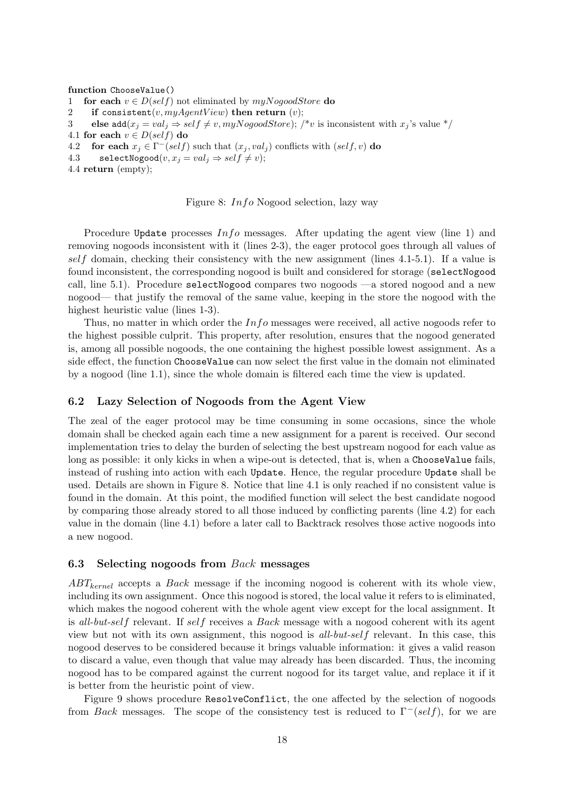#### function ChooseValue()

- 1 for each  $v \in D(self)$  not eliminated by  $m\psi N oq o o o dSt$  do
- 2 if consistent(v,  $myAgentView$ ) then return (v);
- 3 else add $(x_i = val_i \Rightarrow self \neq v, myNogoodStore)$ ; /\*v is inconsistent with  $x_i$ 's value \*/
- 4.1 for each  $v \in D(self)$  do
- 4.2 for each  $x_j \in \Gamma^-(self)$  such that  $(x_j, val_j)$  conflicts with  $(self, v)$  do
- 4.3 selectNogood $(v, x_j = val_j \Rightarrow self \neq v);$
- 4.4 return (empty);

Figure 8: Info Nogood selection, lazy way

Procedure Update processes  $Info$  messages. After updating the agent view (line 1) and removing nogoods inconsistent with it (lines 2-3), the eager protocol goes through all values of self domain, checking their consistency with the new assignment (lines 4.1-5.1). If a value is found inconsistent, the corresponding nogood is built and considered for storage (selectNogood call, line 5.1). Procedure selectNogood compares two nogoods —a stored nogood and a new nogood— that justify the removal of the same value, keeping in the store the nogood with the highest heuristic value (lines 1-3).

Thus, no matter in which order the  $Info$  messages were received, all active nogoods refer to the highest possible culprit. This property, after resolution, ensures that the nogood generated is, among all possible nogoods, the one containing the highest possible lowest assignment. As a side effect, the function ChooseValue can now select the first value in the domain not eliminated by a nogood (line 1.1), since the whole domain is filtered each time the view is updated.

#### 6.2 Lazy Selection of Nogoods from the Agent View

The zeal of the eager protocol may be time consuming in some occasions, since the whole domain shall be checked again each time a new assignment for a parent is received. Our second implementation tries to delay the burden of selecting the best upstream nogood for each value as long as possible: it only kicks in when a wipe-out is detected, that is, when a ChooseValue fails, instead of rushing into action with each Update. Hence, the regular procedure Update shall be used. Details are shown in Figure 8. Notice that line 4.1 is only reached if no consistent value is found in the domain. At this point, the modified function will select the best candidate nogood by comparing those already stored to all those induced by conflicting parents (line 4.2) for each value in the domain (line 4.1) before a later call to Backtrack resolves those active nogoods into a new nogood.

#### 6.3 Selecting nogoods from Back messages

 $ABT_{kernel}$  accepts a *Back* message if the incoming nogood is coherent with its whole view, including its own assignment. Once this nogood is stored, the local value it refers to is eliminated, which makes the nogood coherent with the whole agent view except for the local assignment. It is all-but-self relevant. If self receives a Back message with a nogood coherent with its agent view but not with its own assignment, this nogood is all-but-self relevant. In this case, this nogood deserves to be considered because it brings valuable information: it gives a valid reason to discard a value, even though that value may already has been discarded. Thus, the incoming nogood has to be compared against the current nogood for its target value, and replace it if it is better from the heuristic point of view.

Figure 9 shows procedure ResolveConflict, the one affected by the selection of nogoods from Back messages. The scope of the consistency test is reduced to  $\Gamma^-(self)$ , for we are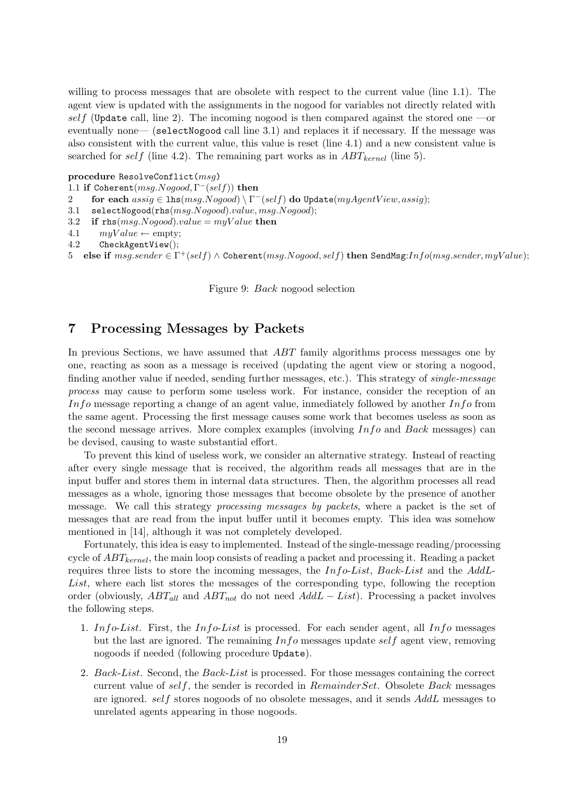willing to process messages that are obsolete with respect to the current value (line 1.1). The agent view is updated with the assignments in the nogood for variables not directly related with self (Update call, line 2). The incoming nogood is then compared against the stored one —or eventually none— (selectNogood call line 3.1) and replaces it if necessary. If the message was also consistent with the current value, this value is reset (line 4.1) and a new consistent value is searched for self (line 4.2). The remaining part works as in  $ABT_{kernel}$  (line 5).

### procedure ResolveConflict(msg)

```
1.1 if Coherent(msg.Nogood, \Gamma^-(self)) then
```
- 2 for each  $\widehat{assign} \in \mathrm{lhs}(\overline{msg}.\overline{Nogood}) \setminus \Gamma^-(self)$  do Update $(myAgentView, assign);$
- 3.1 selectNogood(rhs(msg.Nogood).value, msg.Nogood);
- 3.2 if  $rbs(msg.No good).value = myValue$  then
- 4.1  $myValue \leftarrow empty;$

```
4.2 CheckAgentView();
```
5 else if  $msg.sender \in \Gamma^+(self) \land \text{Coherent}(msg.Nogood, self)$  then SendMsg: $Info(msg.sender, myValue);$ 

Figure 9: Back nogood selection

## 7 Processing Messages by Packets

In previous Sections, we have assumed that ABT family algorithms process messages one by one, reacting as soon as a message is received (updating the agent view or storing a nogood, finding another value if needed, sending further messages, etc.). This strategy of single-message process may cause to perform some useless work. For instance, consider the reception of an Info message reporting a change of an agent value, inmediately followed by another  $Info$  from the same agent. Processing the first message causes some work that becomes useless as soon as the second message arrives. More complex examples (involving Info and Back messages) can be devised, causing to waste substantial effort.

To prevent this kind of useless work, we consider an alternative strategy. Instead of reacting after every single message that is received, the algorithm reads all messages that are in the input buffer and stores them in internal data structures. Then, the algorithm processes all read messages as a whole, ignoring those messages that become obsolete by the presence of another message. We call this strategy processing messages by packets, where a packet is the set of messages that are read from the input buffer until it becomes empty. This idea was somehow mentioned in [14], although it was not completely developed.

Fortunately, this idea is easy to implemented. Instead of the single-message reading/processing cycle of  $ABT_{kernel}$ , the main loop consists of reading a packet and processing it. Reading a packet requires three lists to store the incoming messages, the Info-List, Back-List and the AddL-List, where each list stores the messages of the corresponding type, following the reception order (obviously,  $ABT_{all}$  and  $ABT_{not}$  do not need  $AddL - List$ ). Processing a packet involves the following steps.

- 1. Info-List. First, the Info-List is processed. For each sender agent, all Info messages but the last are ignored. The remaining  $Info$  messages update self agent view, removing nogoods if needed (following procedure Update).
- 2. Back-List. Second, the Back-List is processed. For those messages containing the correct current value of self, the sender is recorded in  $RemainderSet$ . Obsolete Back messages are ignored. self stores nogoods of no obsolete messages, and it sends AddL messages to unrelated agents appearing in those nogoods.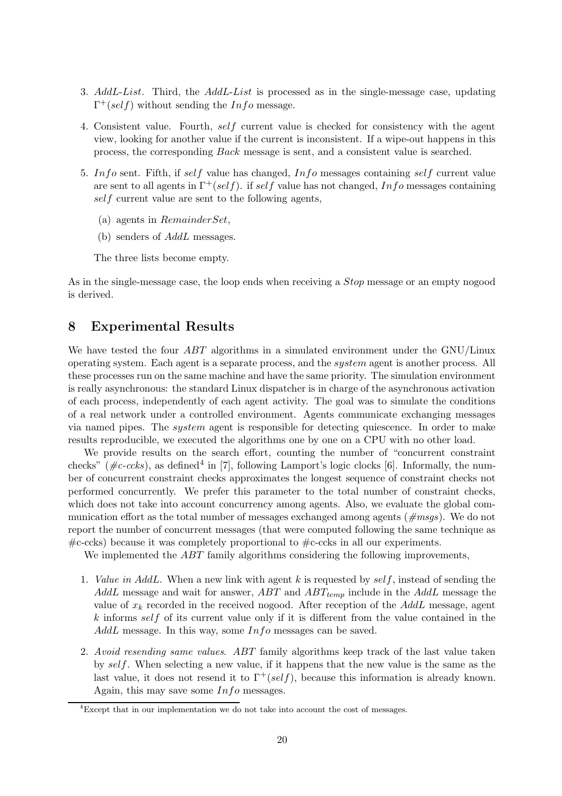- 3. AddL-List. Third, the AddL-List is processed as in the single-message case, updating  $\Gamma^+(self)$  without sending the *Info* message.
- 4. Consistent value. Fourth, self current value is checked for consistency with the agent view, looking for another value if the current is inconsistent. If a wipe-out happens in this process, the corresponding Back message is sent, and a consistent value is searched.
- 5. In fo sent. Fifth, if self value has changed, In fo messages containing self current value are sent to all agents in  $\Gamma^+(self)$ . if self value has not changed, Info messages containing self current value are sent to the following agents,
	- (a) agents in RemainderSet,
	- (b) senders of AddL messages.

The three lists become empty.

As in the single-message case, the loop ends when receiving a Stop message or an empty nogood is derived.

## 8 Experimental Results

We have tested the four *ABT* algorithms in a simulated environment under the GNU/Linux operating system. Each agent is a separate process, and the system agent is another process. All these processes run on the same machine and have the same priority. The simulation environment is really asynchronous: the standard Linux dispatcher is in charge of the asynchronous activation of each process, independently of each agent activity. The goal was to simulate the conditions of a real network under a controlled environment. Agents communicate exchanging messages via named pipes. The system agent is responsible for detecting quiescence. In order to make results reproducible, we executed the algorithms one by one on a CPU with no other load.

We provide results on the search effort, counting the number of "concurrent constraint checks" ( $\#c\text{-}ccks$ ), as defined<sup>4</sup> in [7], following Lamport's logic clocks [6]. Informally, the number of concurrent constraint checks approximates the longest sequence of constraint checks not performed concurrently. We prefer this parameter to the total number of constraint checks, which does not take into account concurrency among agents. Also, we evaluate the global communication effort as the total number of messages exchanged among agents ( $\#mass$ ). We do not report the number of concurrent messages (that were computed following the same technique as  $\#c$ -ccks) because it was completely proportional to  $\#c$ -ccks in all our experiments.

We implemented the *ABT* family algorithms considering the following improvements,

- 1. Value in AddL. When a new link with agent k is requested by  $self$ , instead of sending the AddL message and wait for answer, ABT and  $ABT_{temp}$  include in the AddL message the value of  $x_k$  recorded in the received nogood. After reception of the AddL message, agent  $k$  informs self of its current value only if it is different from the value contained in the  $AddL$  message. In this way, some  $Info$  messages can be saved.
- 2. Avoid resending same values. ABT family algorithms keep track of the last value taken by self. When selecting a new value, if it happens that the new value is the same as the last value, it does not resend it to  $\Gamma^+(self)$ , because this information is already known. Again, this may save some Info messages.

 $\frac{4}{3}$ Except that in our implementation we do not take into account the cost of messages.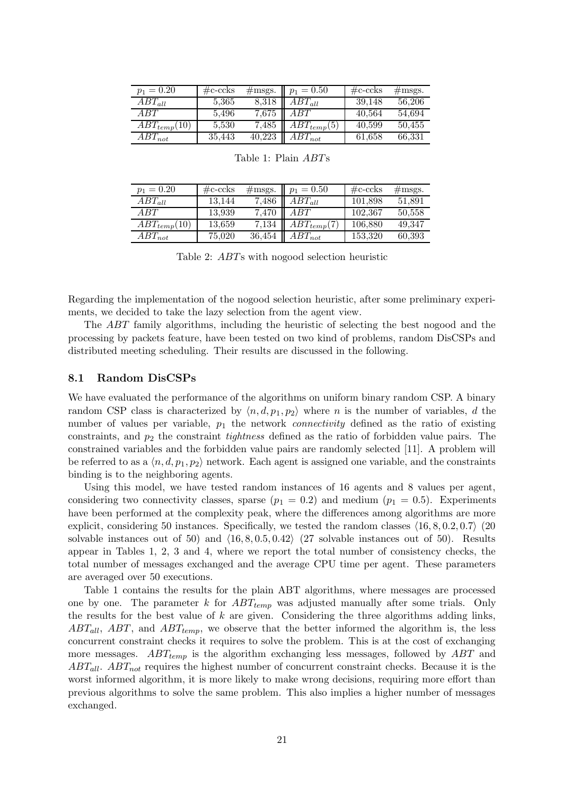| $p_1 = 0.20$     | $\#\text{c-}\text{ccks}$ | $\#\text{msgs}.$ | $p_1 = 0.50$    | $\#\text{c-}\text{c}$ cks | $\#\text{msgs}.$ |
|------------------|--------------------------|------------------|-----------------|---------------------------|------------------|
| $ABT_{all}$      | 5,365                    | 8,318            | $ABT_{all}$     | 39.148                    | 56,206           |
| A BT             | 5.496                    | 7,675            | ABT             | 40,564                    | 54.694           |
| $ABT_{temp}(10)$ | 5,530                    | 7.485            | $ABT_{temp}(5)$ | 40,599                    | 50.455           |
| $ABT_{not}$      | 35.443                   | 40,223           | $ABT_{not}$     | 61,658                    | 66,331           |

| $p_1 = 0.20$     | $\#\text{c-}\text{c}$ cks |       | #msgs. $p_1 = 0.50$                  | $\#\text{c-}\text{c}$ cks | $\#\text{msgs}.$ |
|------------------|---------------------------|-------|--------------------------------------|---------------------------|------------------|
| $ABT_{all}$      | 13.144                    | 7.486 | $ABT_{all}$                          | 101.898                   | 51.891           |
| ABT              | 13,939                    |       | 7,470   $ABT$                        | 102.367                   | 50,558           |
| $ABT_{temp}(10)$ | 13,659                    |       | $\overline{7,134}$   $ABT_{temp}(7)$ | 106,880                   | 49,347           |
| $ABT_{not}$      | 75,020                    |       | $\overline{36,}454$ $ABT_{not}$      | 153,320                   | 60,393           |

Table 1: Plain ABTs

Table 2: ABTs with nogood selection heuristic

Regarding the implementation of the nogood selection heuristic, after some preliminary experiments, we decided to take the lazy selection from the agent view.

The ABT family algorithms, including the heuristic of selecting the best nogood and the processing by packets feature, have been tested on two kind of problems, random DisCSPs and distributed meeting scheduling. Their results are discussed in the following.

#### 8.1 Random DisCSPs

We have evaluated the performance of the algorithms on uniform binary random CSP. A binary random CSP class is characterized by  $\langle n, d, p_1, p_2 \rangle$  where n is the number of variables, d the number of values per variable,  $p_1$  the network *connectivity* defined as the ratio of existing constraints, and  $p_2$  the constraint *tightness* defined as the ratio of forbidden value pairs. The constrained variables and the forbidden value pairs are randomly selected [11]. A problem will be referred to as a  $\langle n, d, p_1, p_2 \rangle$  network. Each agent is assigned one variable, and the constraints binding is to the neighboring agents.

Using this model, we have tested random instances of 16 agents and 8 values per agent, considering two connectivity classes, sparse  $(p_1 = 0.2)$  and medium  $(p_1 = 0.5)$ . Experiments have been performed at the complexity peak, where the differences among algorithms are more explicit, considering 50 instances. Specifically, we tested the random classes  $\langle 16, 8, 0.2, 0.7 \rangle$  (20 solvable instances out of 50) and  $\langle 16, 8, 0.5, 0.42 \rangle$  (27 solvable instances out of 50). Results appear in Tables 1, 2, 3 and 4, where we report the total number of consistency checks, the total number of messages exchanged and the average CPU time per agent. These parameters are averaged over 50 executions.

Table 1 contains the results for the plain ABT algorithms, where messages are processed one by one. The parameter k for  $ABT_{temp}$  was adjusted manually after some trials. Only the results for the best value of  $k$  are given. Considering the three algorithms adding links,  $ABT_{all}$ ,  $ABT$ , and  $ABT_{temp}$ , we observe that the better informed the algorithm is, the less concurrent constraint checks it requires to solve the problem. This is at the cost of exchanging more messages.  $ABT_{temp}$  is the algorithm exchanging less messages, followed by  $ABT$  and  $ABT_{all}$ .  $ABT_{not}$  requires the highest number of concurrent constraint checks. Because it is the worst informed algorithm, it is more likely to make wrong decisions, requiring more effort than previous algorithms to solve the same problem. This also implies a higher number of messages exchanged.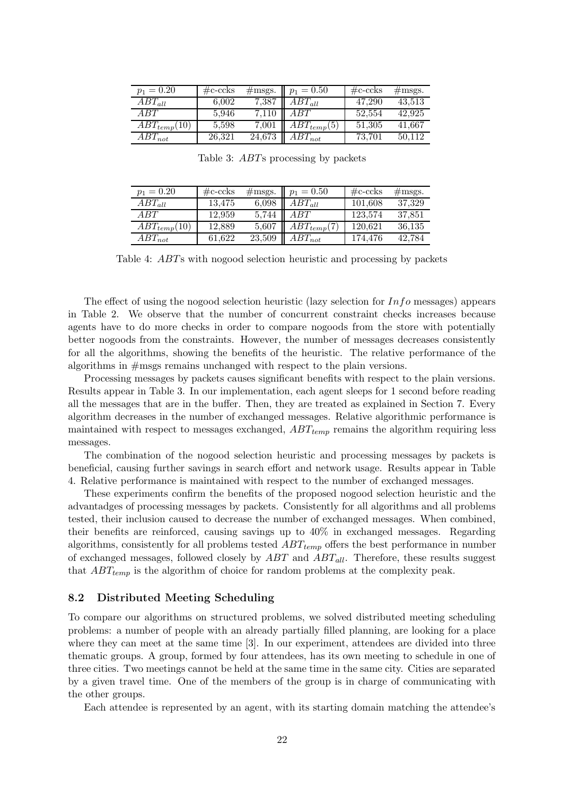| $p_1 = 0.20$     | $\#\text{c-}\text{ccks}$ | $\#\text{msgs}.$ | $p_1 = 0.50$    | $\#\text{c-}\text{ccks}$ | $\#\text{msgs}.$ |
|------------------|--------------------------|------------------|-----------------|--------------------------|------------------|
| $ABT_{all}$      | 6.002                    | 7,387            | $ABT_{all}$     | 47.290                   | 43.513           |
| A BT             | 5.946                    | 7.110            | ABT             | 52,554                   | 42.925           |
| $ABT_{temp}(10)$ | 5,598                    | 7,001            | $ABT_{temp}(5)$ | 51,305                   | 41.667           |
| $ABT_{not}$      | 26,321                   | 24,673           | $ABT_{not}$     | 73.701                   | 50.112           |

Table 3: ABTs processing by packets

| $p_1 = 0.20$     | $\#\text{c-}\text{ccks}$ | $\#\text{msgs}.$ | $p_1 = 0.50$    | $\#\text{c-}\text{c}$ cks | $\#\text{msgs}.$ |
|------------------|--------------------------|------------------|-----------------|---------------------------|------------------|
| $ABT_{all}$      | 13.475                   | 6,098            | $ABT_{all}$     | 101.608                   | 37,329           |
| ABT              | 12.959                   | 5.744            | ABT             | 123,574                   | 37,851           |
| $ABT_{temp}(10)$ | 12,889                   | 5,607            | $ABT_{temp}(7)$ | 120.621                   | 36,135           |
| $ABT_{not}$      | 61.622                   | 23,509           | $ABT_{not}$     | 174.476                   | 42.784           |

Table 4: ABTs with nogood selection heuristic and processing by packets

The effect of using the nogood selection heuristic (lazy selection for  $Info$  messages) appears in Table 2. We observe that the number of concurrent constraint checks increases because agents have to do more checks in order to compare nogoods from the store with potentially better nogoods from the constraints. However, the number of messages decreases consistently for all the algorithms, showing the benefits of the heuristic. The relative performance of the algorithms in #msgs remains unchanged with respect to the plain versions.

Processing messages by packets causes significant benefits with respect to the plain versions. Results appear in Table 3. In our implementation, each agent sleeps for 1 second before reading all the messages that are in the buffer. Then, they are treated as explained in Section 7. Every algorithm decreases in the number of exchanged messages. Relative algorithmic performance is maintained with respect to messages exchanged,  $ABT_{temp}$  remains the algorithm requiring less messages.

The combination of the nogood selection heuristic and processing messages by packets is beneficial, causing further savings in search effort and network usage. Results appear in Table 4. Relative performance is maintained with respect to the number of exchanged messages.

These experiments confirm the benefits of the proposed nogood selection heuristic and the advantadges of processing messages by packets. Consistently for all algorithms and all problems tested, their inclusion caused to decrease the number of exchanged messages. When combined, their benefits are reinforced, causing savings up to 40% in exchanged messages. Regarding algorithms, consistently for all problems tested  $ABT_{temp}$  offers the best performance in number of exchanged messages, followed closely by  $ABT$  and  $ABT_{all}$ . Therefore, these results suggest that  $ABT_{temp}$  is the algorithm of choice for random problems at the complexity peak.

### 8.2 Distributed Meeting Scheduling

To compare our algorithms on structured problems, we solved distributed meeting scheduling problems: a number of people with an already partially filled planning, are looking for a place where they can meet at the same time [3]. In our experiment, attendees are divided into three thematic groups. A group, formed by four attendees, has its own meeting to schedule in one of three cities. Two meetings cannot be held at the same time in the same city. Cities are separated by a given travel time. One of the members of the group is in charge of communicating with the other groups.

Each attendee is represented by an agent, with its starting domain matching the attendee's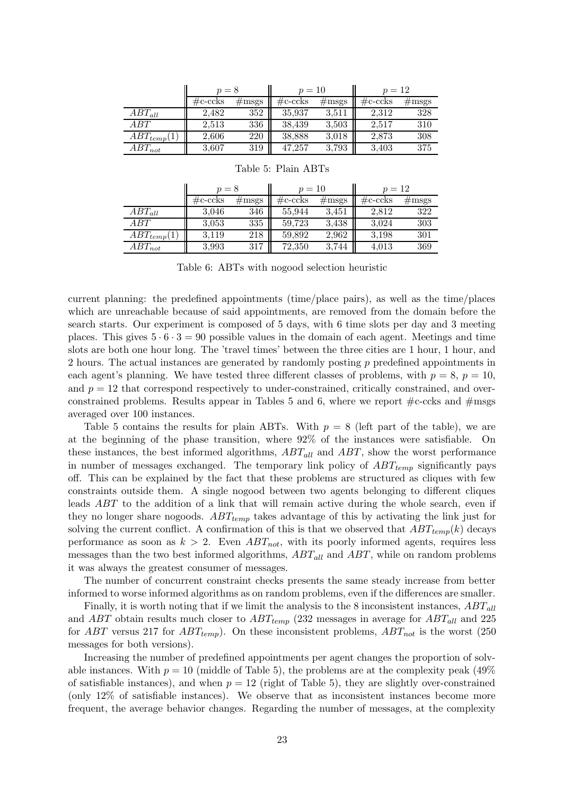|                 | $p=8$                    |                   | $p = 10$    |                 | $p=12$                   |                 |
|-----------------|--------------------------|-------------------|-------------|-----------------|--------------------------|-----------------|
|                 | $\#\text{c-}\text{ccks}$ | $\#\mathrm{msgs}$ | $\#c$ -ccks | $\#\text{msgs}$ | $\#\text{c-}\text{ccks}$ | $\#\text{msgs}$ |
| $ABT_{all}$     | 2.482                    | 352               | 35,937      | 3,511           | 2,312                    | 328             |
| A BT            | 2,513                    | 336               | 38,439      | 3,503           | 2,517                    | 310             |
| $ABT_{temp}(1)$ | 2,606                    | 220               | 38,888      | 3.018           | 2,873                    | 308             |
| $ABT_{not}$     | 3,607                    | 319               | 47,257      | 3,793           | 3,403                    | 375             |

|                 | $p=8$                    |                 | $p = 10$                 |                 | $p = 12$                 |                 |
|-----------------|--------------------------|-----------------|--------------------------|-----------------|--------------------------|-----------------|
|                 | $\#\text{c-}\text{ccks}$ | $\#\text{msgs}$ | $\#\text{c-}\text{ccks}$ | $\#\text{msgs}$ | $\#\text{c-}\text{ccks}$ | $\#\text{msgs}$ |
| $ABT_{all}$     | 3,046                    | 346             | 55,944                   | 3,451           | 2.812                    | 322             |
| ABT             | 3.053                    | 335             | 59,723                   | 3,438           | 3,024                    | 303             |
| $ABT_{temp}(1)$ | 3,119                    | 218             | 59,892                   | 2,962           | 3,198                    | 301             |
| $ABT_{not}$     | 3.993                    | 317             | 72,350                   | 3,744           | 4,013                    | 369             |

#### Table 5: Plain ABTs

Table 6: ABTs with nogood selection heuristic

current planning: the predefined appointments (time/place pairs), as well as the time/places which are unreachable because of said appointments, are removed from the domain before the search starts. Our experiment is composed of 5 days, with 6 time slots per day and 3 meeting places. This gives  $5 \cdot 6 \cdot 3 = 90$  possible values in the domain of each agent. Meetings and time slots are both one hour long. The 'travel times' between the three cities are 1 hour, 1 hour, and 2 hours. The actual instances are generated by randomly posting p predefined appointments in each agent's planning. We have tested three different classes of problems, with  $p = 8$ ,  $p = 10$ , and  $p = 12$  that correspond respectively to under-constrained, critically constrained, and overconstrained problems. Results appear in Tables 5 and 6, where we report  $\#c$ -ccks and  $\#msgs$ averaged over 100 instances.

Table 5 contains the results for plain ABTs. With  $p = 8$  (left part of the table), we are at the beginning of the phase transition, where 92% of the instances were satisfiable. On these instances, the best informed algorithms,  $ABT_{all}$  and  $ABT$ , show the worst performance in number of messages exchanged. The temporary link policy of  $ABT_{temp}$  significantly pays off. This can be explained by the fact that these problems are structured as cliques with few constraints outside them. A single nogood between two agents belonging to different cliques leads ABT to the addition of a link that will remain active during the whole search, even if they no longer share nogoods.  $ABT_{temp}$  takes advantage of this by activating the link just for solving the current conflict. A confirmation of this is that we observed that  $ABT_{temp}(k)$  decays performance as soon as  $k > 2$ . Even  $ABT_{not}$ , with its poorly informed agents, requires less messages than the two best informed algorithms,  $ABT_{all}$  and  $ABT$ , while on random problems it was always the greatest consumer of messages.

The number of concurrent constraint checks presents the same steady increase from better informed to worse informed algorithms as on random problems, even if the differences are smaller.

Finally, it is worth noting that if we limit the analysis to the 8 inconsistent instances,  $ABT_{all}$ and ABT obtain results much closer to  $ABT_{temp}$  (232 messages in average for  $ABT_{all}$  and 225 for ABT versus 217 for  $ABT_{temp}$ ). On these inconsistent problems,  $ABT_{not}$  is the worst (250 messages for both versions).

Increasing the number of predefined appointments per agent changes the proportion of solvable instances. With  $p = 10$  (middle of Table 5), the problems are at the complexity peak (49%) of satisfiable instances), and when  $p = 12$  (right of Table 5), they are slightly over-constrained (only 12% of satisfiable instances). We observe that as inconsistent instances become more frequent, the average behavior changes. Regarding the number of messages, at the complexity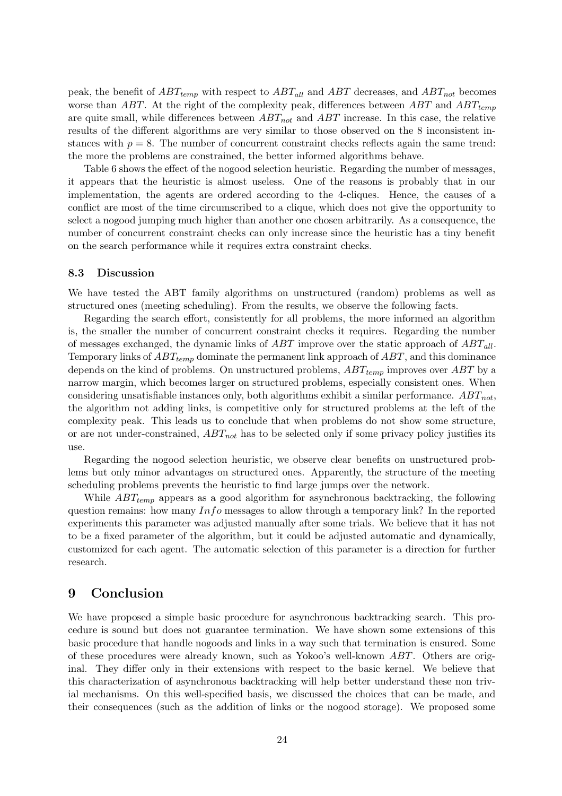peak, the benefit of  $ABT_{temp}$  with respect to  $ABT_{all}$  and  $ABT$  decreases, and  $ABT_{not}$  becomes worse than ABT. At the right of the complexity peak, differences between ABT and  $ABT_{temp}$ are quite small, while differences between  $ABT_{not}$  and  $ABT$  increase. In this case, the relative results of the different algorithms are very similar to those observed on the 8 inconsistent instances with  $p = 8$ . The number of concurrent constraint checks reflects again the same trend: the more the problems are constrained, the better informed algorithms behave.

Table 6 shows the effect of the nogood selection heuristic. Regarding the number of messages, it appears that the heuristic is almost useless. One of the reasons is probably that in our implementation, the agents are ordered according to the 4-cliques. Hence, the causes of a conflict are most of the time circumscribed to a clique, which does not give the opportunity to select a nogood jumping much higher than another one chosen arbitrarily. As a consequence, the number of concurrent constraint checks can only increase since the heuristic has a tiny benefit on the search performance while it requires extra constraint checks.

#### 8.3 Discussion

We have tested the ABT family algorithms on unstructured (random) problems as well as structured ones (meeting scheduling). From the results, we observe the following facts.

Regarding the search effort, consistently for all problems, the more informed an algorithm is, the smaller the number of concurrent constraint checks it requires. Regarding the number of messages exchanged, the dynamic links of  $ABT$  improve over the static approach of  $ABT_{all}$ . Temporary links of  $ABT_{temp}$  dominate the permanent link approach of  $ABT$ , and this dominance depends on the kind of problems. On unstructured problems,  $ABT_{temp}$  improves over  $ABT$  by a narrow margin, which becomes larger on structured problems, especially consistent ones. When considering unsatisfiable instances only, both algorithms exhibit a similar performance.  $ABT_{not}$ , the algorithm not adding links, is competitive only for structured problems at the left of the complexity peak. This leads us to conclude that when problems do not show some structure, or are not under-constrained,  $ABT_{not}$  has to be selected only if some privacy policy justifies its use.

Regarding the nogood selection heuristic, we observe clear benefits on unstructured problems but only minor advantages on structured ones. Apparently, the structure of the meeting scheduling problems prevents the heuristic to find large jumps over the network.

While  $ABT_{temp}$  appears as a good algorithm for asynchronous backtracking, the following question remains: how many  $Info$  messages to allow through a temporary link? In the reported experiments this parameter was adjusted manually after some trials. We believe that it has not to be a fixed parameter of the algorithm, but it could be adjusted automatic and dynamically, customized for each agent. The automatic selection of this parameter is a direction for further research.

### 9 Conclusion

We have proposed a simple basic procedure for asynchronous backtracking search. This procedure is sound but does not guarantee termination. We have shown some extensions of this basic procedure that handle nogoods and links in a way such that termination is ensured. Some of these procedures were already known, such as Yokoo's well-known ABT. Others are original. They differ only in their extensions with respect to the basic kernel. We believe that this characterization of asynchronous backtracking will help better understand these non trivial mechanisms. On this well-specified basis, we discussed the choices that can be made, and their consequences (such as the addition of links or the nogood storage). We proposed some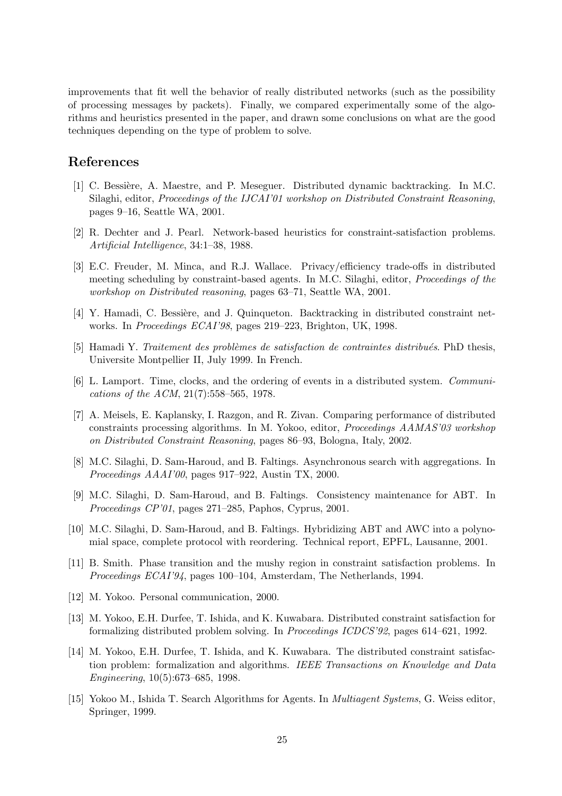improvements that fit well the behavior of really distributed networks (such as the possibility of processing messages by packets). Finally, we compared experimentally some of the algorithms and heuristics presented in the paper, and drawn some conclusions on what are the good techniques depending on the type of problem to solve.

## References

- [1] C. Bessière, A. Maestre, and P. Meseguer. Distributed dynamic backtracking. In M.C. Silaghi, editor, Proceedings of the IJCAI'01 workshop on Distributed Constraint Reasoning, pages 9–16, Seattle WA, 2001.
- [2] R. Dechter and J. Pearl. Network-based heuristics for constraint-satisfaction problems. Artificial Intelligence, 34:1–38, 1988.
- [3] E.C. Freuder, M. Minca, and R.J. Wallace. Privacy/efficiency trade-offs in distributed meeting scheduling by constraint-based agents. In M.C. Silaghi, editor, Proceedings of the workshop on Distributed reasoning, pages 63–71, Seattle WA, 2001.
- [4] Y. Hamadi, C. Bessière, and J. Quinqueton. Backtracking in distributed constraint networks. In Proceedings ECAI'98, pages 219–223, Brighton, UK, 1998.
- [5] Hamadi Y. Traitement des problèmes de satisfaction de contraintes distribués. PhD thesis, Universite Montpellier II, July 1999. In French.
- [6] L. Lamport. Time, clocks, and the ordering of events in a distributed system. Communications of the ACM, 21(7):558–565, 1978.
- [7] A. Meisels, E. Kaplansky, I. Razgon, and R. Zivan. Comparing performance of distributed constraints processing algorithms. In M. Yokoo, editor, Proceedings AAMAS'03 workshop on Distributed Constraint Reasoning, pages 86–93, Bologna, Italy, 2002.
- [8] M.C. Silaghi, D. Sam-Haroud, and B. Faltings. Asynchronous search with aggregations. In Proceedings AAAI'00, pages 917–922, Austin TX, 2000.
- [9] M.C. Silaghi, D. Sam-Haroud, and B. Faltings. Consistency maintenance for ABT. In Proceedings CP'01, pages 271–285, Paphos, Cyprus, 2001.
- [10] M.C. Silaghi, D. Sam-Haroud, and B. Faltings. Hybridizing ABT and AWC into a polynomial space, complete protocol with reordering. Technical report, EPFL, Lausanne, 2001.
- [11] B. Smith. Phase transition and the mushy region in constraint satisfaction problems. In Proceedings ECAI'94, pages 100–104, Amsterdam, The Netherlands, 1994.
- [12] M. Yokoo. Personal communication, 2000.
- [13] M. Yokoo, E.H. Durfee, T. Ishida, and K. Kuwabara. Distributed constraint satisfaction for formalizing distributed problem solving. In Proceedings ICDCS'92, pages 614–621, 1992.
- [14] M. Yokoo, E.H. Durfee, T. Ishida, and K. Kuwabara. The distributed constraint satisfaction problem: formalization and algorithms. IEEE Transactions on Knowledge and Data Engineering, 10(5):673–685, 1998.
- [15] Yokoo M., Ishida T. Search Algorithms for Agents. In *Multiagent Systems*, G. Weiss editor, Springer, 1999.